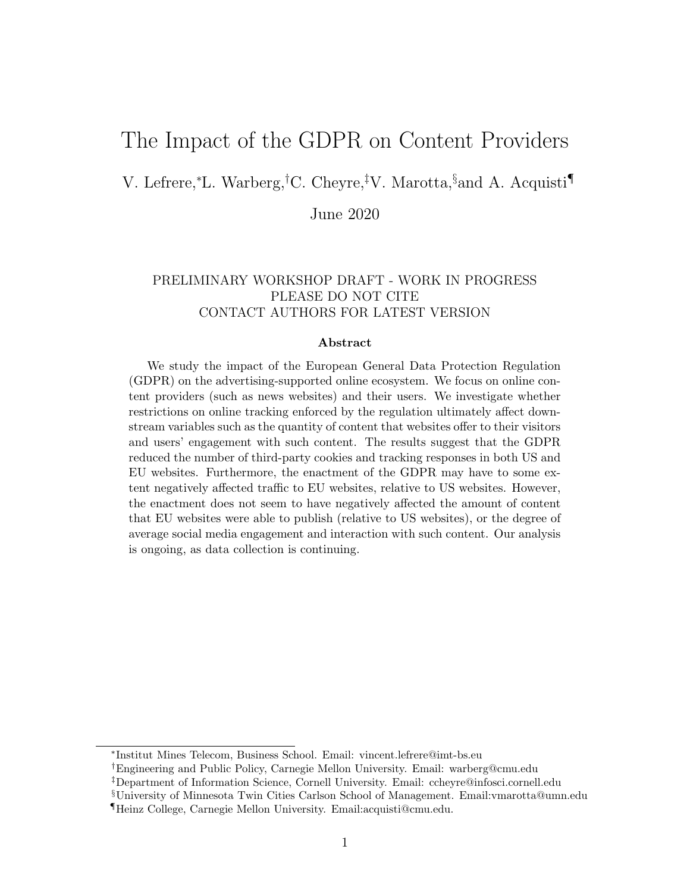# The Impact of the GDPR on Content Providers

V. Lefrere,<sup>∗</sup>L. Warberg,†C. Cheyre,‡V. Marotta,§and A. Acquisti¶

June 2020

## PRELIMINARY WORKSHOP DRAFT - WORK IN PROGRESS PLEASE DO NOT CITE CONTACT AUTHORS FOR LATEST VERSION

#### Abstract

We study the impact of the European General Data Protection Regulation (GDPR) on the advertising-supported online ecosystem. We focus on online content providers (such as news websites) and their users. We investigate whether restrictions on online tracking enforced by the regulation ultimately affect downstream variables such as the quantity of content that websites offer to their visitors and users' engagement with such content. The results suggest that the GDPR reduced the number of third-party cookies and tracking responses in both US and EU websites. Furthermore, the enactment of the GDPR may have to some extent negatively affected traffic to EU websites, relative to US websites. However, the enactment does not seem to have negatively affected the amount of content that EU websites were able to publish (relative to US websites), or the degree of average social media engagement and interaction with such content. Our analysis is ongoing, as data collection is continuing.

∗ Institut Mines Telecom, Business School. Email: vincent.lefrere@imt-bs.eu

†Engineering and Public Policy, Carnegie Mellon University. Email: warberg@cmu.edu

‡Department of Information Science, Cornell University. Email: ccheyre@infosci.cornell.edu

<sup>§</sup>University of Minnesota Twin Cities Carlson School of Management. Email:vmarotta@umn.edu

<sup>¶</sup>Heinz College, Carnegie Mellon University. Email:acquisti@cmu.edu.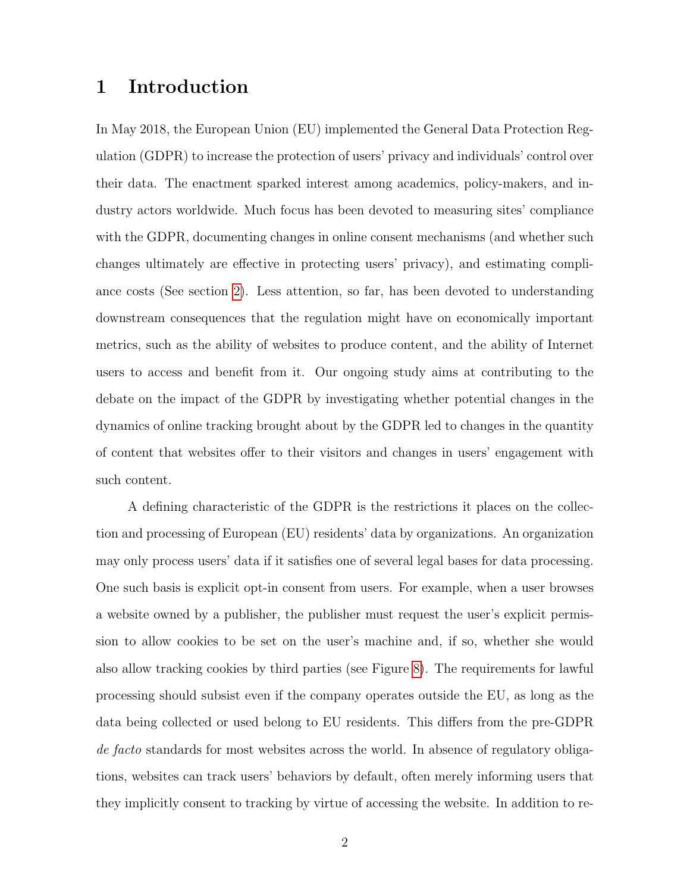# 1 Introduction

In May 2018, the European Union (EU) implemented the General Data Protection Regulation (GDPR) to increase the protection of users' privacy and individuals' control over their data. The enactment sparked interest among academics, policy-makers, and industry actors worldwide. Much focus has been devoted to measuring sites' compliance with the GDPR, documenting changes in online consent mechanisms (and whether such changes ultimately are effective in protecting users' privacy), and estimating compliance costs (See section [2\)](#page-6-0). Less attention, so far, has been devoted to understanding downstream consequences that the regulation might have on economically important metrics, such as the ability of websites to produce content, and the ability of Internet users to access and benefit from it. Our ongoing study aims at contributing to the debate on the impact of the GDPR by investigating whether potential changes in the dynamics of online tracking brought about by the GDPR led to changes in the quantity of content that websites offer to their visitors and changes in users' engagement with such content.

A defining characteristic of the GDPR is the restrictions it places on the collection and processing of European (EU) residents' data by organizations. An organization may only process users' data if it satisfies one of several legal bases for data processing. One such basis is explicit opt-in consent from users. For example, when a user browses a website owned by a publisher, the publisher must request the user's explicit permission to allow cookies to be set on the user's machine and, if so, whether she would also allow tracking cookies by third parties (see Figure [8\)](#page-44-0). The requirements for lawful processing should subsist even if the company operates outside the EU, as long as the data being collected or used belong to EU residents. This differs from the pre-GDPR de facto standards for most websites across the world. In absence of regulatory obligations, websites can track users' behaviors by default, often merely informing users that they implicitly consent to tracking by virtue of accessing the website. In addition to re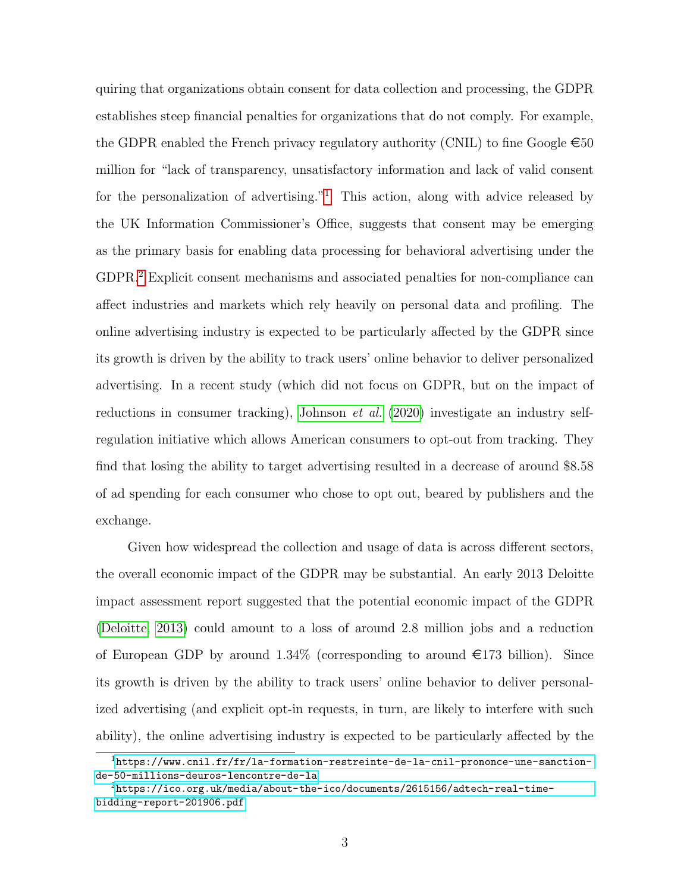quiring that organizations obtain consent for data collection and processing, the GDPR establishes steep financial penalties for organizations that do not comply. For example, the GDPR enabled the French privacy regulatory authority (CNIL) to fine Google  $\epsilon$ 50 million for "lack of transparency, unsatisfactory information and lack of valid consent for the personalization of advertising."<sup>[1](#page-2-0)</sup> This action, along with advice released by the UK Information Commissioner's Office, suggests that consent may be emerging as the primary basis for enabling data processing for behavioral advertising under the GDPR.[2](#page-2-1) Explicit consent mechanisms and associated penalties for non-compliance can affect industries and markets which rely heavily on personal data and profiling. The online advertising industry is expected to be particularly affected by the GDPR since its growth is driven by the ability to track users' online behavior to deliver personalized advertising. In a recent study (which did not focus on GDPR, but on the impact of reductions in consumer tracking), [Johnson](#page-43-0) et al. [\(2020\)](#page-43-0) investigate an industry selfregulation initiative which allows American consumers to opt-out from tracking. They find that losing the ability to target advertising resulted in a decrease of around \$8.58 of ad spending for each consumer who chose to opt out, beared by publishers and the exchange.

Given how widespread the collection and usage of data is across different sectors, the overall economic impact of the GDPR may be substantial. An early 2013 Deloitte impact assessment report suggested that the potential economic impact of the GDPR [\(Deloitte, 2013\)](#page-42-0) could amount to a loss of around 2.8 million jobs and a reduction of European GDP by around  $1.34\%$  (corresponding to around  $\epsilon$ 173 billion). Since its growth is driven by the ability to track users' online behavior to deliver personalized advertising (and explicit opt-in requests, in turn, are likely to interfere with such ability), the online advertising industry is expected to be particularly affected by the

<span id="page-2-0"></span><sup>1</sup>[https://www.cnil.fr/fr/la-formation-restreinte-de-la-cnil-prononce-une-sanction](https://www.cnil.fr/fr/la-formation-restreinte-de-la-cnil-prononce-une-sanction-de-50-millions-deuros-lencontre-de-la)[de-50-millions-deuros-lencontre-de-la](https://www.cnil.fr/fr/la-formation-restreinte-de-la-cnil-prononce-une-sanction-de-50-millions-deuros-lencontre-de-la)

<span id="page-2-1"></span><sup>2</sup>[https://ico.org.uk/media/about-the-ico/documents/2615156/adtech-real-time](https://ico.org.uk/media/about-the-ico/documents/2615156/adtech-real-time-bidding-report-201906.pdf)[bidding-report-201906.pdf](https://ico.org.uk/media/about-the-ico/documents/2615156/adtech-real-time-bidding-report-201906.pdf)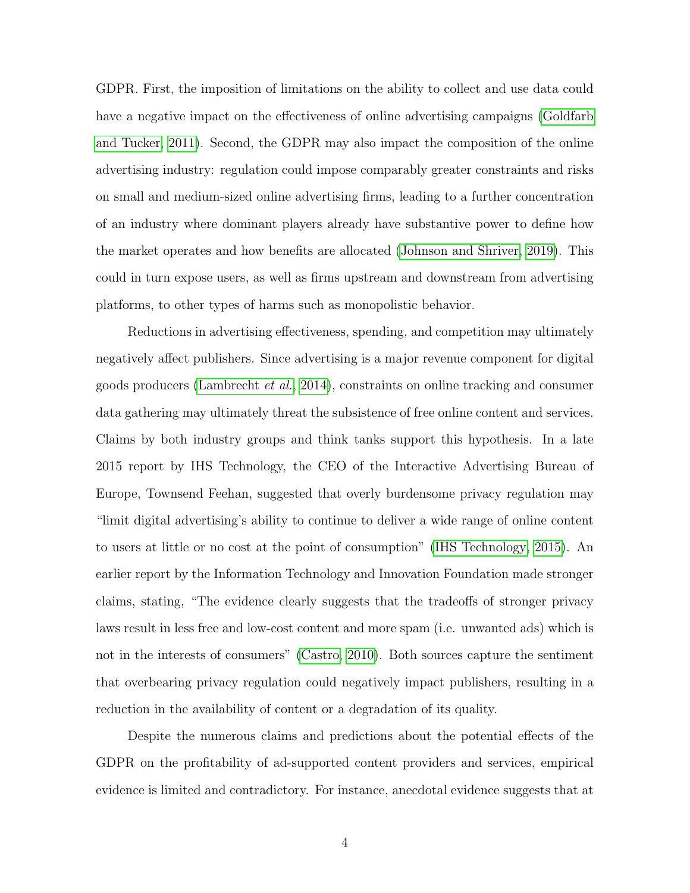GDPR. First, the imposition of limitations on the ability to collect and use data could have a negative impact on the effectiveness of online advertising campaigns [\(Goldfarb](#page-42-1) [and Tucker, 2011\)](#page-42-1). Second, the GDPR may also impact the composition of the online advertising industry: regulation could impose comparably greater constraints and risks on small and medium-sized online advertising firms, leading to a further concentration of an industry where dominant players already have substantive power to define how the market operates and how benefits are allocated [\(Johnson and Shriver, 2019\)](#page-43-1). This could in turn expose users, as well as firms upstream and downstream from advertising platforms, to other types of harms such as monopolistic behavior.

Reductions in advertising effectiveness, spending, and competition may ultimately negatively affect publishers. Since advertising is a major revenue component for digital goods producers [\(Lambrecht](#page-43-2) et al., [2014\)](#page-43-2), constraints on online tracking and consumer data gathering may ultimately threat the subsistence of free online content and services. Claims by both industry groups and think tanks support this hypothesis. In a late 2015 report by IHS Technology, the CEO of the Interactive Advertising Bureau of Europe, Townsend Feehan, suggested that overly burdensome privacy regulation may "limit digital advertising's ability to continue to deliver a wide range of online content to users at little or no cost at the point of consumption" [\(IHS Technology, 2015\)](#page-42-2). An earlier report by the Information Technology and Innovation Foundation made stronger claims, stating, "The evidence clearly suggests that the tradeoffs of stronger privacy laws result in less free and low-cost content and more spam (i.e. unwanted ads) which is not in the interests of consumers" [\(Castro, 2010\)](#page-41-0). Both sources capture the sentiment that overbearing privacy regulation could negatively impact publishers, resulting in a reduction in the availability of content or a degradation of its quality.

Despite the numerous claims and predictions about the potential effects of the GDPR on the profitability of ad-supported content providers and services, empirical evidence is limited and contradictory. For instance, anecdotal evidence suggests that at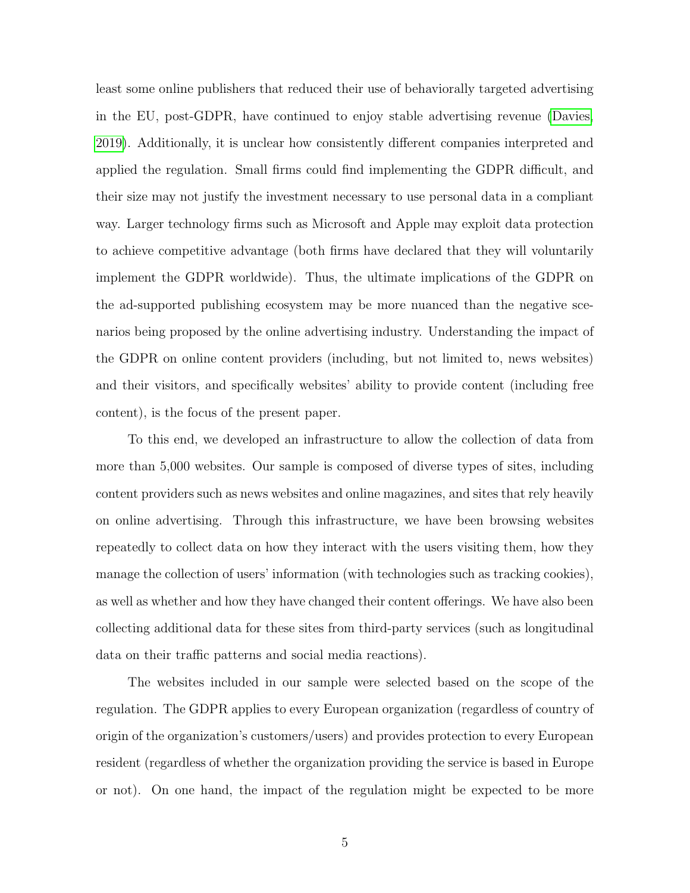least some online publishers that reduced their use of behaviorally targeted advertising in the EU, post-GDPR, have continued to enjoy stable advertising revenue [\(Davies,](#page-42-3) [2019\)](#page-42-3). Additionally, it is unclear how consistently different companies interpreted and applied the regulation. Small firms could find implementing the GDPR difficult, and their size may not justify the investment necessary to use personal data in a compliant way. Larger technology firms such as Microsoft and Apple may exploit data protection to achieve competitive advantage (both firms have declared that they will voluntarily implement the GDPR worldwide). Thus, the ultimate implications of the GDPR on the ad-supported publishing ecosystem may be more nuanced than the negative scenarios being proposed by the online advertising industry. Understanding the impact of the GDPR on online content providers (including, but not limited to, news websites) and their visitors, and specifically websites' ability to provide content (including free content), is the focus of the present paper.

To this end, we developed an infrastructure to allow the collection of data from more than 5,000 websites. Our sample is composed of diverse types of sites, including content providers such as news websites and online magazines, and sites that rely heavily on online advertising. Through this infrastructure, we have been browsing websites repeatedly to collect data on how they interact with the users visiting them, how they manage the collection of users' information (with technologies such as tracking cookies), as well as whether and how they have changed their content offerings. We have also been collecting additional data for these sites from third-party services (such as longitudinal data on their traffic patterns and social media reactions).

The websites included in our sample were selected based on the scope of the regulation. The GDPR applies to every European organization (regardless of country of origin of the organization's customers/users) and provides protection to every European resident (regardless of whether the organization providing the service is based in Europe or not). On one hand, the impact of the regulation might be expected to be more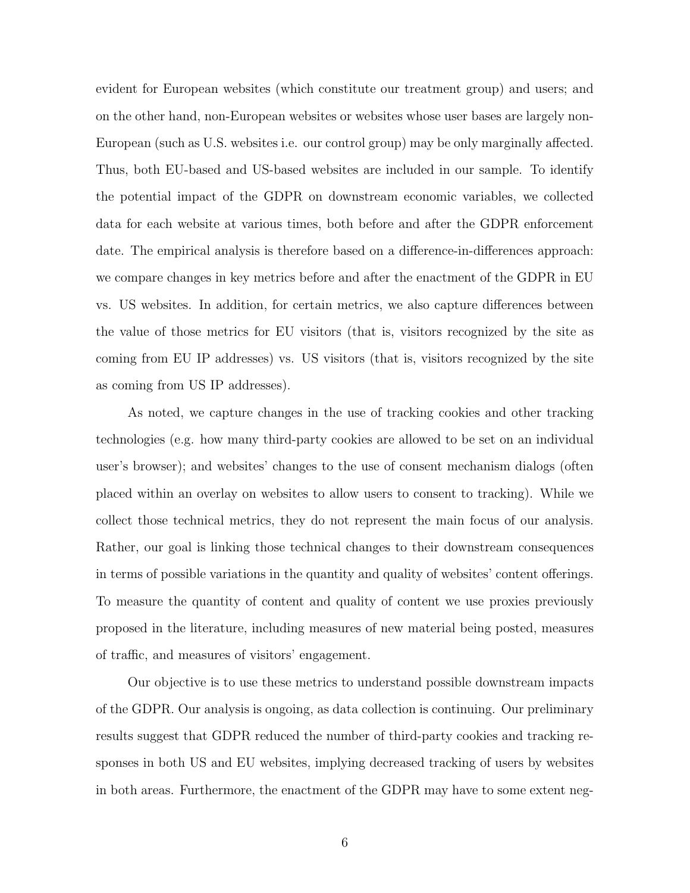evident for European websites (which constitute our treatment group) and users; and on the other hand, non-European websites or websites whose user bases are largely non-European (such as U.S. websites i.e. our control group) may be only marginally affected. Thus, both EU-based and US-based websites are included in our sample. To identify the potential impact of the GDPR on downstream economic variables, we collected data for each website at various times, both before and after the GDPR enforcement date. The empirical analysis is therefore based on a difference-in-differences approach: we compare changes in key metrics before and after the enactment of the GDPR in EU vs. US websites. In addition, for certain metrics, we also capture differences between the value of those metrics for EU visitors (that is, visitors recognized by the site as coming from EU IP addresses) vs. US visitors (that is, visitors recognized by the site as coming from US IP addresses).

As noted, we capture changes in the use of tracking cookies and other tracking technologies (e.g. how many third-party cookies are allowed to be set on an individual user's browser); and websites' changes to the use of consent mechanism dialogs (often placed within an overlay on websites to allow users to consent to tracking). While we collect those technical metrics, they do not represent the main focus of our analysis. Rather, our goal is linking those technical changes to their downstream consequences in terms of possible variations in the quantity and quality of websites' content offerings. To measure the quantity of content and quality of content we use proxies previously proposed in the literature, including measures of new material being posted, measures of traffic, and measures of visitors' engagement.

Our objective is to use these metrics to understand possible downstream impacts of the GDPR. Our analysis is ongoing, as data collection is continuing. Our preliminary results suggest that GDPR reduced the number of third-party cookies and tracking responses in both US and EU websites, implying decreased tracking of users by websites in both areas. Furthermore, the enactment of the GDPR may have to some extent neg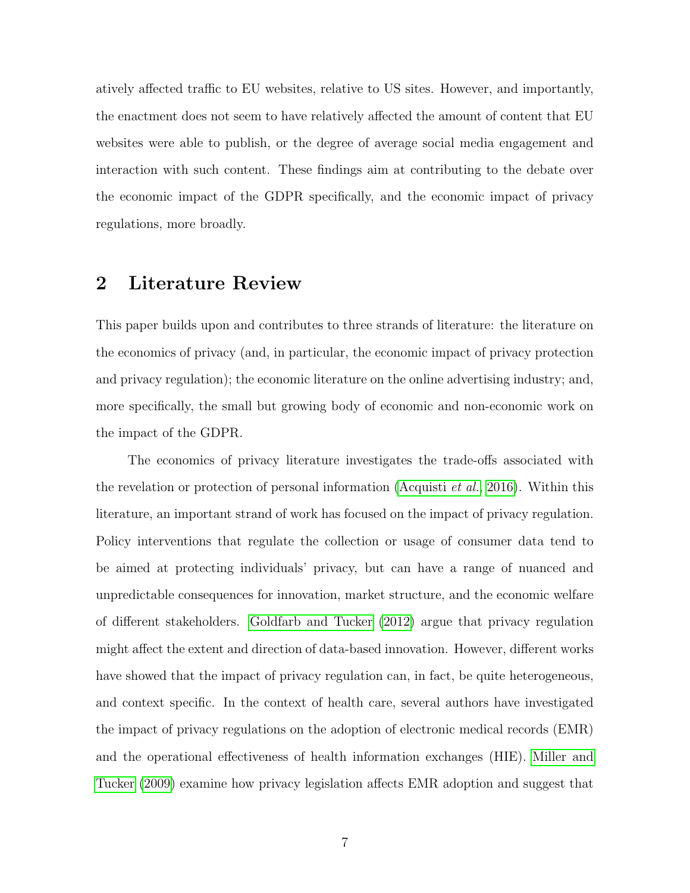atively affected traffic to EU websites, relative to US sites. However, and importantly, the enactment does not seem to have relatively affected the amount of content that EU websites were able to publish, or the degree of average social media engagement and interaction with such content. These findings aim at contributing to the debate over the economic impact of the GDPR specifically, and the economic impact of privacy regulations, more broadly.

# <span id="page-6-0"></span>2 Literature Review

This paper builds upon and contributes to three strands of literature: the literature on the economics of privacy (and, in particular, the economic impact of privacy protection and privacy regulation); the economic literature on the online advertising industry; and, more specifically, the small but growing body of economic and non-economic work on the impact of the GDPR.

The economics of privacy literature investigates the trade-offs associated with the revelation or protection of personal information [\(Acquisti](#page-41-1) *et al.*, [2016\)](#page-41-1). Within this literature, an important strand of work has focused on the impact of privacy regulation. Policy interventions that regulate the collection or usage of consumer data tend to be aimed at protecting individuals' privacy, but can have a range of nuanced and unpredictable consequences for innovation, market structure, and the economic welfare of different stakeholders. [Goldfarb and Tucker](#page-42-4) [\(2012\)](#page-42-4) argue that privacy regulation might affect the extent and direction of data-based innovation. However, different works have showed that the impact of privacy regulation can, in fact, be quite heterogeneous, and context specific. In the context of health care, several authors have investigated the impact of privacy regulations on the adoption of electronic medical records (EMR) and the operational effectiveness of health information exchanges (HIE). [Miller and](#page-43-3) [Tucker](#page-43-3) [\(2009\)](#page-43-3) examine how privacy legislation affects EMR adoption and suggest that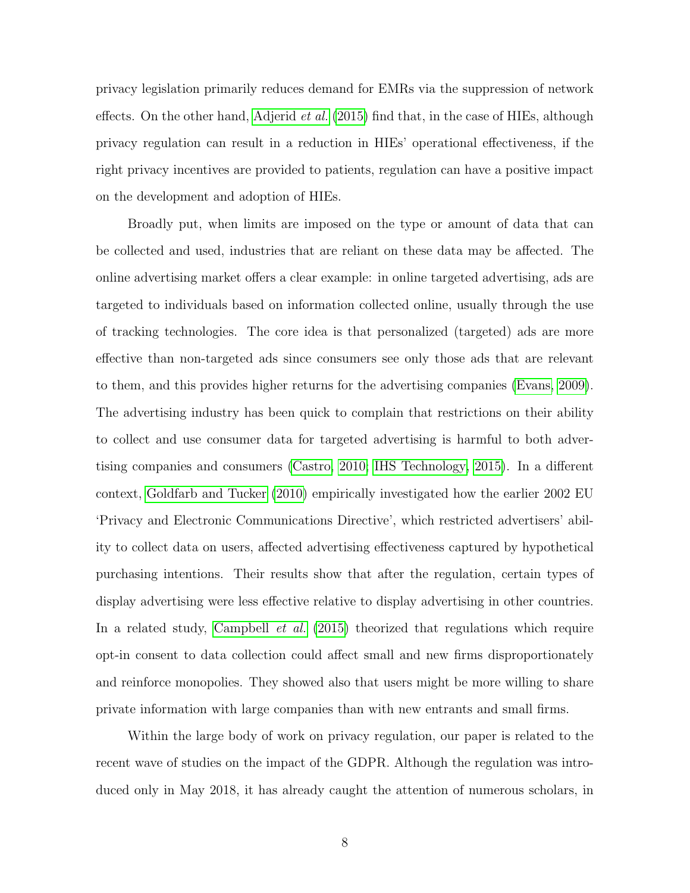privacy legislation primarily reduces demand for EMRs via the suppression of network effects. On the other hand, [Adjerid](#page-41-2) *et al.* [\(2015\)](#page-41-2) find that, in the case of HIEs, although privacy regulation can result in a reduction in HIEs' operational effectiveness, if the right privacy incentives are provided to patients, regulation can have a positive impact on the development and adoption of HIEs.

Broadly put, when limits are imposed on the type or amount of data that can be collected and used, industries that are reliant on these data may be affected. The online advertising market offers a clear example: in online targeted advertising, ads are targeted to individuals based on information collected online, usually through the use of tracking technologies. The core idea is that personalized (targeted) ads are more effective than non-targeted ads since consumers see only those ads that are relevant to them, and this provides higher returns for the advertising companies [\(Evans, 2009\)](#page-42-5). The advertising industry has been quick to complain that restrictions on their ability to collect and use consumer data for targeted advertising is harmful to both advertising companies and consumers [\(Castro, 2010;](#page-41-0) [IHS Technology, 2015\)](#page-42-2). In a different context, [Goldfarb and Tucker](#page-42-6) [\(2010\)](#page-42-6) empirically investigated how the earlier 2002 EU 'Privacy and Electronic Communications Directive', which restricted advertisers' ability to collect data on users, affected advertising effectiveness captured by hypothetical purchasing intentions. Their results show that after the regulation, certain types of display advertising were less effective relative to display advertising in other countries. In a related study, [Campbell](#page-41-3) *et al.* [\(2015\)](#page-41-3) theorized that regulations which require opt-in consent to data collection could affect small and new firms disproportionately and reinforce monopolies. They showed also that users might be more willing to share private information with large companies than with new entrants and small firms.

Within the large body of work on privacy regulation, our paper is related to the recent wave of studies on the impact of the GDPR. Although the regulation was introduced only in May 2018, it has already caught the attention of numerous scholars, in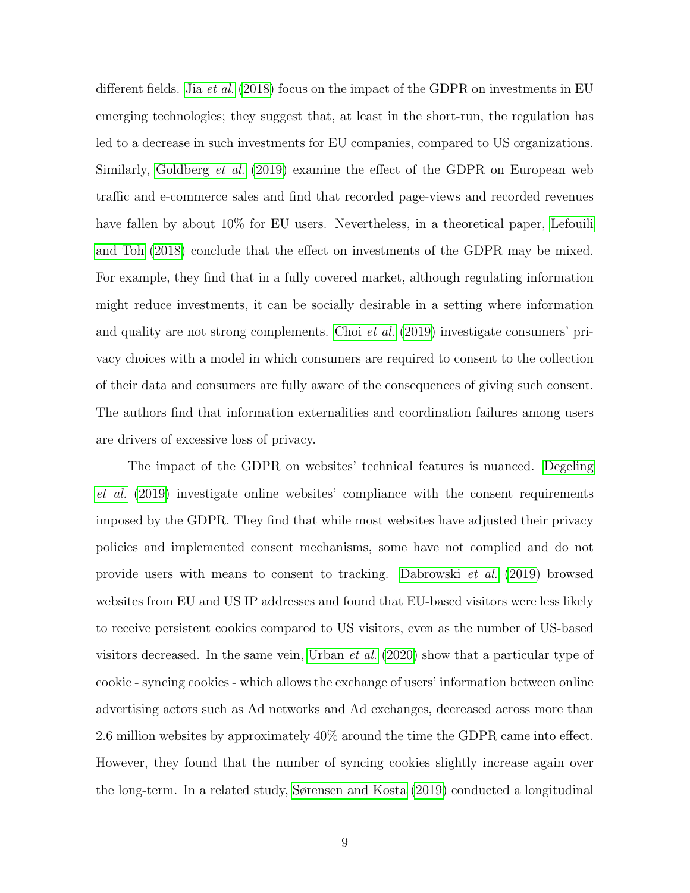different fields. Jia *[et al.](#page-43-4)* [\(2018\)](#page-43-4) focus on the impact of the GDPR on investments in EU emerging technologies; they suggest that, at least in the short-run, the regulation has led to a decrease in such investments for EU companies, compared to US organizations. Similarly, [Goldberg](#page-42-7) et al. [\(2019\)](#page-42-7) examine the effect of the GDPR on European web traffic and e-commerce sales and find that recorded page-views and recorded revenues have fallen by about  $10\%$  for EU users. Nevertheless, in a theoretical paper, [Lefouili](#page-43-5) [and Toh](#page-43-5) [\(2018\)](#page-43-5) conclude that the effect on investments of the GDPR may be mixed. For example, they find that in a fully covered market, although regulating information might reduce investments, it can be socially desirable in a setting where information and quality are not strong complements. Choi *[et al.](#page-41-4)* [\(2019\)](#page-41-4) investigate consumers' privacy choices with a model in which consumers are required to consent to the collection of their data and consumers are fully aware of the consequences of giving such consent. The authors find that information externalities and coordination failures among users are drivers of excessive loss of privacy.

The impact of the GDPR on websites' technical features is nuanced. [Degeling](#page-42-8) [et al.](#page-42-8) [\(2019\)](#page-42-8) investigate online websites' compliance with the consent requirements imposed by the GDPR. They find that while most websites have adjusted their privacy policies and implemented consent mechanisms, some have not complied and do not provide users with means to consent to tracking. [Dabrowski](#page-41-5) et al. [\(2019\)](#page-41-5) browsed websites from EU and US IP addresses and found that EU-based visitors were less likely to receive persistent cookies compared to US visitors, even as the number of US-based visitors decreased. In the same vein, [Urban](#page-43-6) et al. [\(2020\)](#page-43-6) show that a particular type of cookie - syncing cookies - which allows the exchange of users' information between online advertising actors such as Ad networks and Ad exchanges, decreased across more than 2.6 million websites by approximately 40% around the time the GDPR came into effect. However, they found that the number of syncing cookies slightly increase again over the long-term. In a related study, [Sørensen and Kosta](#page-43-7) [\(2019\)](#page-43-7) conducted a longitudinal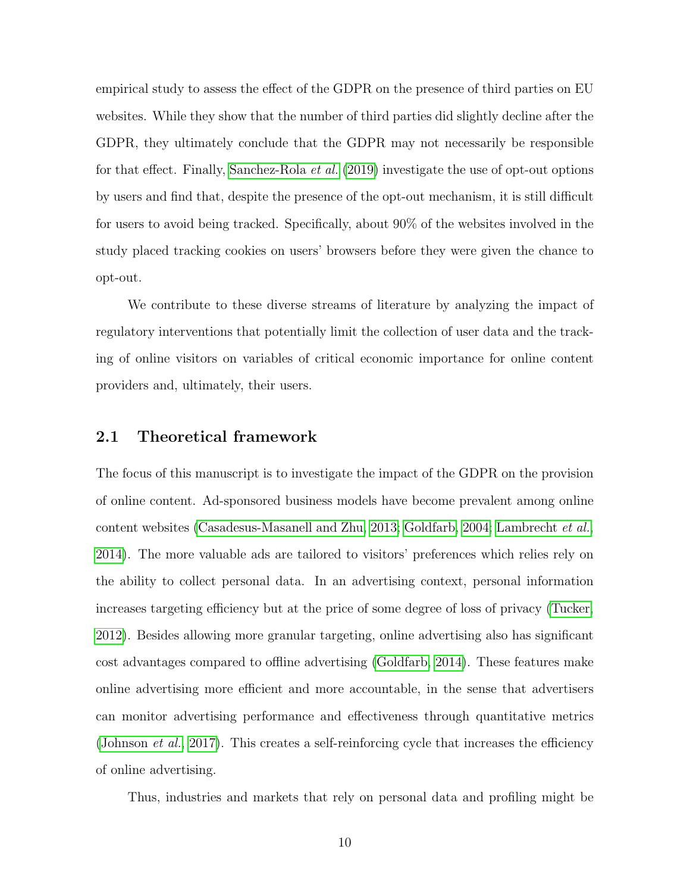empirical study to assess the effect of the GDPR on the presence of third parties on EU websites. While they show that the number of third parties did slightly decline after the GDPR, they ultimately conclude that the GDPR may not necessarily be responsible for that effect. Finally, [Sanchez-Rola](#page-43-8) et al. [\(2019\)](#page-43-8) investigate the use of opt-out options by users and find that, despite the presence of the opt-out mechanism, it is still difficult for users to avoid being tracked. Specifically, about 90% of the websites involved in the study placed tracking cookies on users' browsers before they were given the chance to opt-out.

We contribute to these diverse streams of literature by analyzing the impact of regulatory interventions that potentially limit the collection of user data and the tracking of online visitors on variables of critical economic importance for online content providers and, ultimately, their users.

### 2.1 Theoretical framework

The focus of this manuscript is to investigate the impact of the GDPR on the provision of online content. Ad-sponsored business models have become prevalent among online content websites [\(Casadesus-Masanell and Zhu, 2013;](#page-41-6) [Goldfarb, 2004;](#page-42-9) [Lambrecht](#page-43-2) et al., [2014\)](#page-43-2). The more valuable ads are tailored to visitors' preferences which relies rely on the ability to collect personal data. In an advertising context, personal information increases targeting efficiency but at the price of some degree of loss of privacy [\(Tucker,](#page-43-9) [2012\)](#page-43-9). Besides allowing more granular targeting, online advertising also has significant cost advantages compared to offline advertising [\(Goldfarb, 2014\)](#page-42-10). These features make online advertising more efficient and more accountable, in the sense that advertisers can monitor advertising performance and effectiveness through quantitative metrics [\(Johnson](#page-43-10) *et al.*, [2017\)](#page-43-10). This creates a self-reinforcing cycle that increases the efficiency of online advertising.

Thus, industries and markets that rely on personal data and profiling might be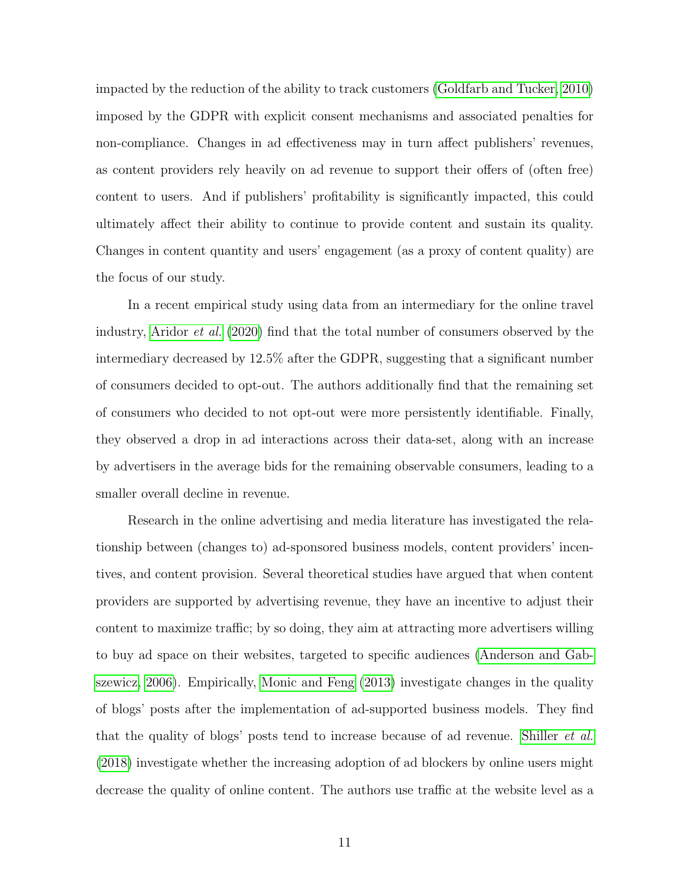impacted by the reduction of the ability to track customers [\(Goldfarb and Tucker, 2010\)](#page-42-6) imposed by the GDPR with explicit consent mechanisms and associated penalties for non-compliance. Changes in ad effectiveness may in turn affect publishers' revenues, as content providers rely heavily on ad revenue to support their offers of (often free) content to users. And if publishers' profitability is significantly impacted, this could ultimately affect their ability to continue to provide content and sustain its quality. Changes in content quantity and users' engagement (as a proxy of content quality) are the focus of our study.

In a recent empirical study using data from an intermediary for the online travel industry, [Aridor](#page-41-7) et al. [\(2020\)](#page-41-7) find that the total number of consumers observed by the intermediary decreased by 12.5% after the GDPR, suggesting that a significant number of consumers decided to opt-out. The authors additionally find that the remaining set of consumers who decided to not opt-out were more persistently identifiable. Finally, they observed a drop in ad interactions across their data-set, along with an increase by advertisers in the average bids for the remaining observable consumers, leading to a smaller overall decline in revenue.

Research in the online advertising and media literature has investigated the relationship between (changes to) ad-sponsored business models, content providers' incentives, and content provision. Several theoretical studies have argued that when content providers are supported by advertising revenue, they have an incentive to adjust their content to maximize traffic; by so doing, they aim at attracting more advertisers willing to buy ad space on their websites, targeted to specific audiences [\(Anderson and Gab](#page-41-8)[szewicz, 2006\)](#page-41-8). Empirically, [Monic and Feng](#page-43-11) [\(2013\)](#page-43-11) investigate changes in the quality of blogs' posts after the implementation of ad-supported business models. They find that the quality of blogs' posts tend to increase because of ad revenue. [Shiller](#page-43-12) *et al.* [\(2018\)](#page-43-12) investigate whether the increasing adoption of ad blockers by online users might decrease the quality of online content. The authors use traffic at the website level as a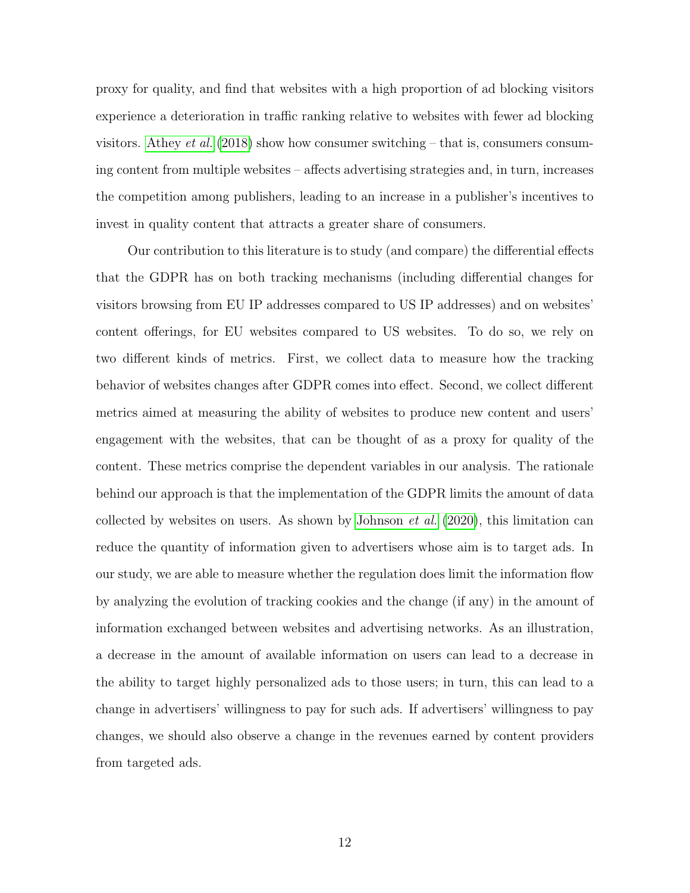proxy for quality, and find that websites with a high proportion of ad blocking visitors experience a deterioration in traffic ranking relative to websites with fewer ad blocking visitors. [Athey](#page-41-9) *et al.* [\(2018\)](#page-41-9) show how consumer switching – that is, consumers consuming content from multiple websites – affects advertising strategies and, in turn, increases the competition among publishers, leading to an increase in a publisher's incentives to invest in quality content that attracts a greater share of consumers.

Our contribution to this literature is to study (and compare) the differential effects that the GDPR has on both tracking mechanisms (including differential changes for visitors browsing from EU IP addresses compared to US IP addresses) and on websites' content offerings, for EU websites compared to US websites. To do so, we rely on two different kinds of metrics. First, we collect data to measure how the tracking behavior of websites changes after GDPR comes into effect. Second, we collect different metrics aimed at measuring the ability of websites to produce new content and users' engagement with the websites, that can be thought of as a proxy for quality of the content. These metrics comprise the dependent variables in our analysis. The rationale behind our approach is that the implementation of the GDPR limits the amount of data collected by websites on users. As shown by [Johnson](#page-43-0) *et al.*  $(2020)$ , this limitation can reduce the quantity of information given to advertisers whose aim is to target ads. In our study, we are able to measure whether the regulation does limit the information flow by analyzing the evolution of tracking cookies and the change (if any) in the amount of information exchanged between websites and advertising networks. As an illustration, a decrease in the amount of available information on users can lead to a decrease in the ability to target highly personalized ads to those users; in turn, this can lead to a change in advertisers' willingness to pay for such ads. If advertisers' willingness to pay changes, we should also observe a change in the revenues earned by content providers from targeted ads.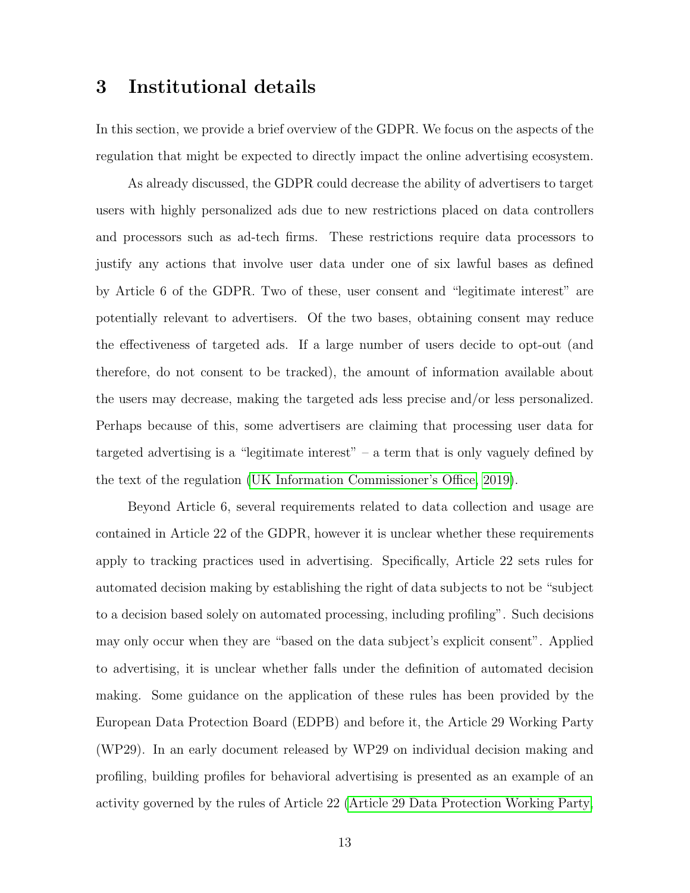# 3 Institutional details

In this section, we provide a brief overview of the GDPR. We focus on the aspects of the regulation that might be expected to directly impact the online advertising ecosystem.

As already discussed, the GDPR could decrease the ability of advertisers to target users with highly personalized ads due to new restrictions placed on data controllers and processors such as ad-tech firms. These restrictions require data processors to justify any actions that involve user data under one of six lawful bases as defined by Article 6 of the GDPR. Two of these, user consent and "legitimate interest" are potentially relevant to advertisers. Of the two bases, obtaining consent may reduce the effectiveness of targeted ads. If a large number of users decide to opt-out (and therefore, do not consent to be tracked), the amount of information available about the users may decrease, making the targeted ads less precise and/or less personalized. Perhaps because of this, some advertisers are claiming that processing user data for targeted advertising is a "legitimate interest" – a term that is only vaguely defined by the text of the regulation [\(UK Information Commissioner's Office, 2019\)](#page-43-13).

Beyond Article 6, several requirements related to data collection and usage are contained in Article 22 of the GDPR, however it is unclear whether these requirements apply to tracking practices used in advertising. Specifically, Article 22 sets rules for automated decision making by establishing the right of data subjects to not be "subject to a decision based solely on automated processing, including profiling". Such decisions may only occur when they are "based on the data subject's explicit consent". Applied to advertising, it is unclear whether falls under the definition of automated decision making. Some guidance on the application of these rules has been provided by the European Data Protection Board (EDPB) and before it, the Article 29 Working Party (WP29). In an early document released by WP29 on individual decision making and profiling, building profiles for behavioral advertising is presented as an example of an activity governed by the rules of Article 22 [\(Article 29 Data Protection Working Party,](#page-41-10)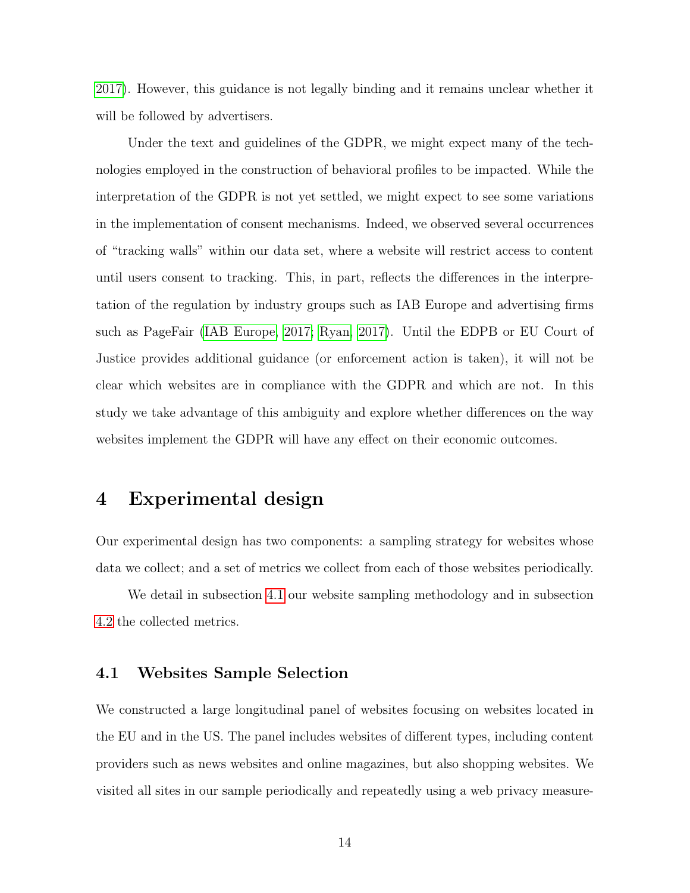[2017\)](#page-41-10). However, this guidance is not legally binding and it remains unclear whether it will be followed by advertisers.

Under the text and guidelines of the GDPR, we might expect many of the technologies employed in the construction of behavioral profiles to be impacted. While the interpretation of the GDPR is not yet settled, we might expect to see some variations in the implementation of consent mechanisms. Indeed, we observed several occurrences of "tracking walls" within our data set, where a website will restrict access to content until users consent to tracking. This, in part, reflects the differences in the interpretation of the regulation by industry groups such as IAB Europe and advertising firms such as PageFair [\(IAB Europe, 2017;](#page-42-11) [Ryan, 2017\)](#page-43-14). Until the EDPB or EU Court of Justice provides additional guidance (or enforcement action is taken), it will not be clear which websites are in compliance with the GDPR and which are not. In this study we take advantage of this ambiguity and explore whether differences on the way websites implement the GDPR will have any effect on their economic outcomes.

# <span id="page-13-1"></span>4 Experimental design

Our experimental design has two components: a sampling strategy for websites whose data we collect; and a set of metrics we collect from each of those websites periodically.

We detail in subsection [4.1](#page-13-0) our website sampling methodology and in subsection [4.2](#page-18-0) the collected metrics.

## <span id="page-13-0"></span>4.1 Websites Sample Selection

We constructed a large longitudinal panel of websites focusing on websites located in the EU and in the US. The panel includes websites of different types, including content providers such as news websites and online magazines, but also shopping websites. We visited all sites in our sample periodically and repeatedly using a web privacy measure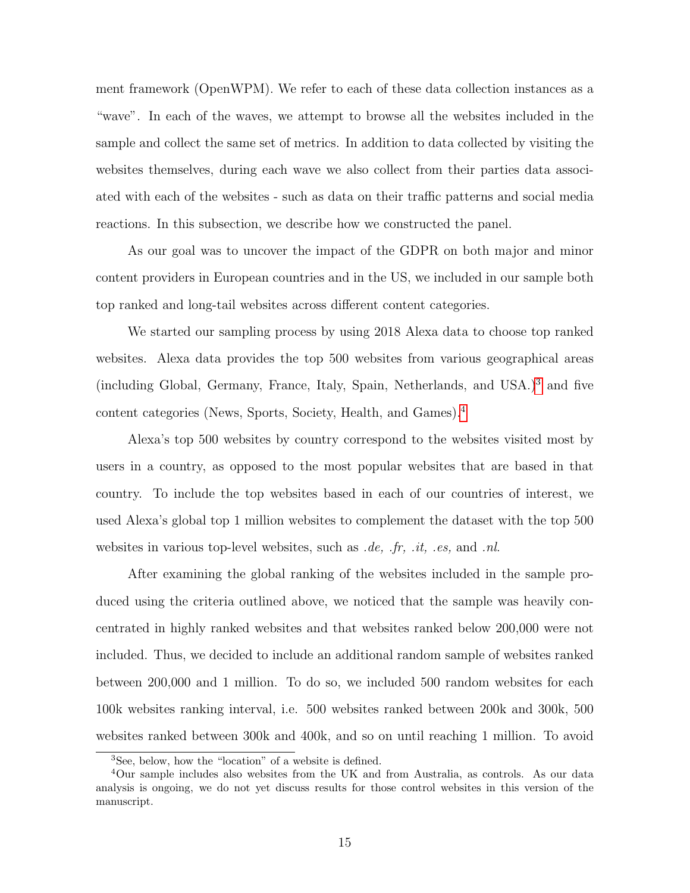ment framework (OpenWPM). We refer to each of these data collection instances as a "wave". In each of the waves, we attempt to browse all the websites included in the sample and collect the same set of metrics. In addition to data collected by visiting the websites themselves, during each wave we also collect from their parties data associated with each of the websites - such as data on their traffic patterns and social media reactions. In this subsection, we describe how we constructed the panel.

As our goal was to uncover the impact of the GDPR on both major and minor content providers in European countries and in the US, we included in our sample both top ranked and long-tail websites across different content categories.

We started our sampling process by using 2018 Alexa data to choose top ranked websites. Alexa data provides the top 500 websites from various geographical areas (including Global, Germany, France, Italy, Spain, Netherlands, and USA.)[3](#page-14-0) and five content categories (News, Sports, Society, Health, and Games).[4](#page-14-1)

Alexa's top 500 websites by country correspond to the websites visited most by users in a country, as opposed to the most popular websites that are based in that country. To include the top websites based in each of our countries of interest, we used Alexa's global top 1 million websites to complement the dataset with the top 500 websites in various top-level websites, such as  $de, fr, it, es, and nh.$ 

After examining the global ranking of the websites included in the sample produced using the criteria outlined above, we noticed that the sample was heavily concentrated in highly ranked websites and that websites ranked below 200,000 were not included. Thus, we decided to include an additional random sample of websites ranked between 200,000 and 1 million. To do so, we included 500 random websites for each 100k websites ranking interval, i.e. 500 websites ranked between 200k and 300k, 500 websites ranked between 300k and 400k, and so on until reaching 1 million. To avoid

<span id="page-14-1"></span><span id="page-14-0"></span><sup>3</sup>See, below, how the "location" of a website is defined.

<sup>4</sup>Our sample includes also websites from the UK and from Australia, as controls. As our data analysis is ongoing, we do not yet discuss results for those control websites in this version of the manuscript.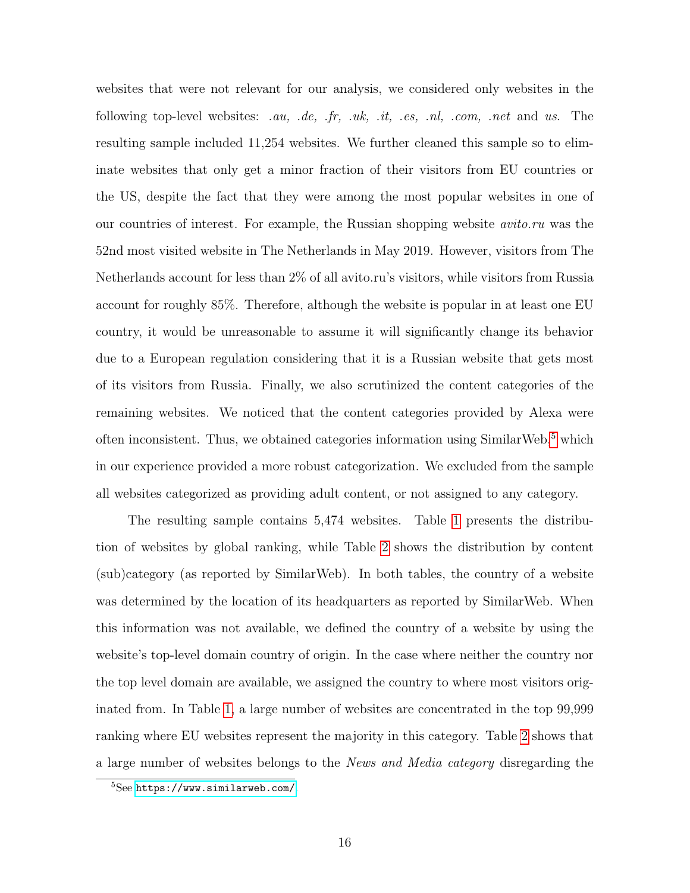websites that were not relevant for our analysis, we considered only websites in the following top-level websites: .au, .de, .fr, .uk, .it, .es, .nl, .com, .net and us. The resulting sample included 11,254 websites. We further cleaned this sample so to eliminate websites that only get a minor fraction of their visitors from EU countries or the US, despite the fact that they were among the most popular websites in one of our countries of interest. For example, the Russian shopping website avito.ru was the 52nd most visited website in The Netherlands in May 2019. However, visitors from The Netherlands account for less than 2% of all avito.ru's visitors, while visitors from Russia account for roughly 85%. Therefore, although the website is popular in at least one EU country, it would be unreasonable to assume it will significantly change its behavior due to a European regulation considering that it is a Russian website that gets most of its visitors from Russia. Finally, we also scrutinized the content categories of the remaining websites. We noticed that the content categories provided by Alexa were often inconsistent. Thus, we obtained categories information using SimilarWeb, $5$  which in our experience provided a more robust categorization. We excluded from the sample all websites categorized as providing adult content, or not assigned to any category.

The resulting sample contains 5,474 websites. Table [1](#page-16-0) presents the distribution of websites by global ranking, while Table [2](#page-17-0) shows the distribution by content (sub)category (as reported by SimilarWeb). In both tables, the country of a website was determined by the location of its headquarters as reported by SimilarWeb. When this information was not available, we defined the country of a website by using the website's top-level domain country of origin. In the case where neither the country nor the top level domain are available, we assigned the country to where most visitors originated from. In Table [1,](#page-16-0) a large number of websites are concentrated in the top 99,999 ranking where EU websites represent the majority in this category. Table [2](#page-17-0) shows that a large number of websites belongs to the News and Media category disregarding the

<span id="page-15-0"></span><sup>5</sup>See <https://www.similarweb.com/>.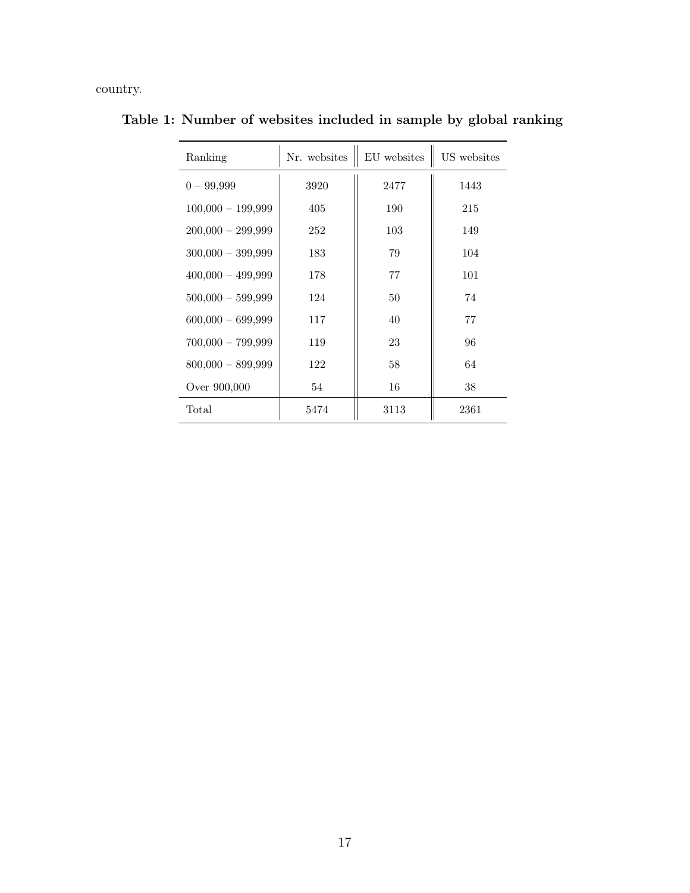country.

<span id="page-16-0"></span>

| Ranking             | Nr. websites | EU websites | US websites |
|---------------------|--------------|-------------|-------------|
| $0 - 99,999$        | 3920         | 2477        | 1443        |
| $100,000 - 199,999$ | 405          | 190         | 215         |
| $200,000 - 299,999$ | 252          | 103         | 149         |
| $300,000 - 399,999$ | 183          | 79          | 104         |
| $400,000 - 499,999$ | 178          | 77          | 101         |
| $500,000 - 599,999$ | 124          | 50          | 74          |
| $600,000 - 699,999$ | 117          | 40          | 77          |
| $700,000 - 799,999$ | 119          | 23          | 96          |
| $800,000 - 899,999$ | 122          | 58          | 64          |
| Over 900,000        | 54           | 16          | 38          |
| Total               | 5474         | 3113        | 2361        |

Table 1: Number of websites included in sample by global ranking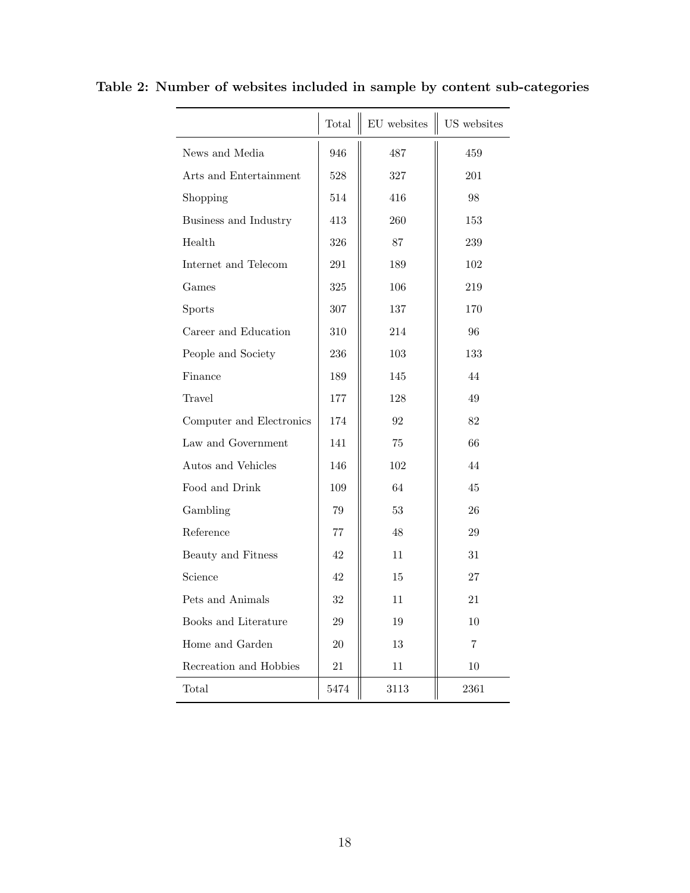<span id="page-17-0"></span>

|                          | Total  | ${\rm EU}$ websites | US websites |
|--------------------------|--------|---------------------|-------------|
| News and Media           | 946    | 487                 | 459         |
| Arts and Entertainment   | 528    | 327                 | 201         |
| Shopping                 | 514    | 416                 | 98          |
| Business and Industry    | 413    | 260                 | 153         |
| Health                   | 326    | 87                  | 239         |
| Internet and Telecom     | 291    | 189                 | 102         |
| Games                    | 325    | 106                 | 219         |
| <b>Sports</b>            | 307    | 137                 | 170         |
| Career and Education     | 310    | 214                 | 96          |
| People and Society       | 236    | 103                 | 133         |
| Finance                  | 189    | 145                 | 44          |
| Travel                   | 177    | 128                 | 49          |
| Computer and Electronics | 174    | 92                  | 82          |
| Law and Government       | 141    | 75                  | 66          |
| Autos and Vehicles       | 146    | 102                 | 44          |
| Food and Drink           | 109    | 64                  | 45          |
| Gambling                 | 79     | 53                  | 26          |
| Reference                | 77     | 48                  | 29          |
| Beauty and Fitness       | 42     | 11.                 | 31          |
| Science                  | 42     | 15                  | 27          |
| Pets and Animals         | 32     | 11                  | 21          |
| Books and Literature     | 29     | 19                  | 10          |
| Home and Garden          | 20     | 13                  | 7           |
| Recreation and Hobbies   | $21\,$ | 11                  | 10          |
| Total                    | 5474   | 3113                | 2361        |

Table 2: Number of websites included in sample by content sub-categories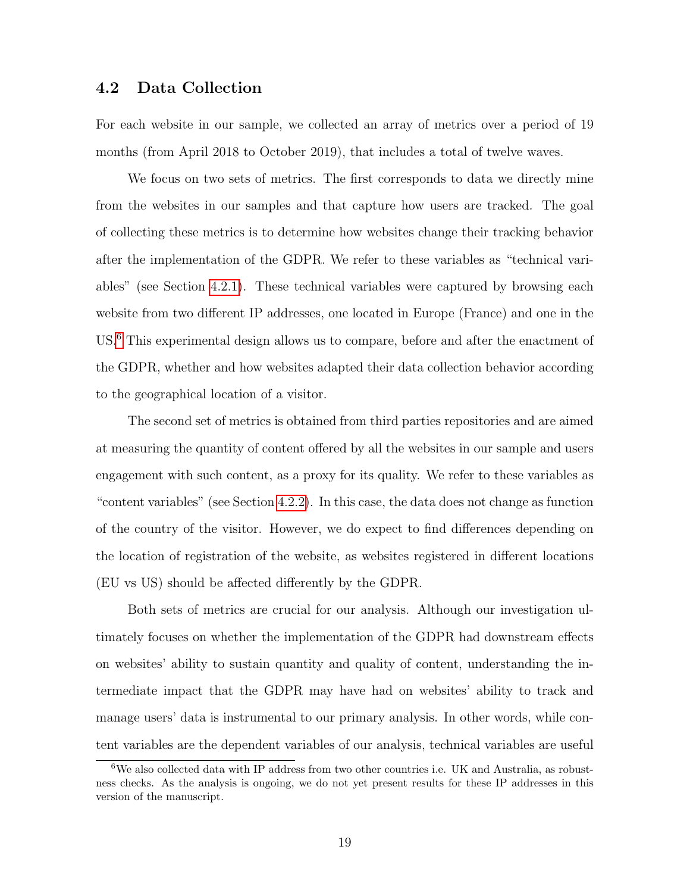## <span id="page-18-0"></span>4.2 Data Collection

For each website in our sample, we collected an array of metrics over a period of 19 months (from April 2018 to October 2019), that includes a total of twelve waves.

We focus on two sets of metrics. The first corresponds to data we directly mine from the websites in our samples and that capture how users are tracked. The goal of collecting these metrics is to determine how websites change their tracking behavior after the implementation of the GDPR. We refer to these variables as "technical variables" (see Section [4.2.1\)](#page-19-0). These technical variables were captured by browsing each website from two different IP addresses, one located in Europe (France) and one in the US.[6](#page-18-1) This experimental design allows us to compare, before and after the enactment of the GDPR, whether and how websites adapted their data collection behavior according to the geographical location of a visitor.

The second set of metrics is obtained from third parties repositories and are aimed at measuring the quantity of content offered by all the websites in our sample and users engagement with such content, as a proxy for its quality. We refer to these variables as "content variables" (see Section [4.2.2\)](#page-21-0). In this case, the data does not change as function of the country of the visitor. However, we do expect to find differences depending on the location of registration of the website, as websites registered in different locations (EU vs US) should be affected differently by the GDPR.

Both sets of metrics are crucial for our analysis. Although our investigation ultimately focuses on whether the implementation of the GDPR had downstream effects on websites' ability to sustain quantity and quality of content, understanding the intermediate impact that the GDPR may have had on websites' ability to track and manage users' data is instrumental to our primary analysis. In other words, while content variables are the dependent variables of our analysis, technical variables are useful

<span id="page-18-1"></span><sup>6</sup>We also collected data with IP address from two other countries i.e. UK and Australia, as robustness checks. As the analysis is ongoing, we do not yet present results for these IP addresses in this version of the manuscript.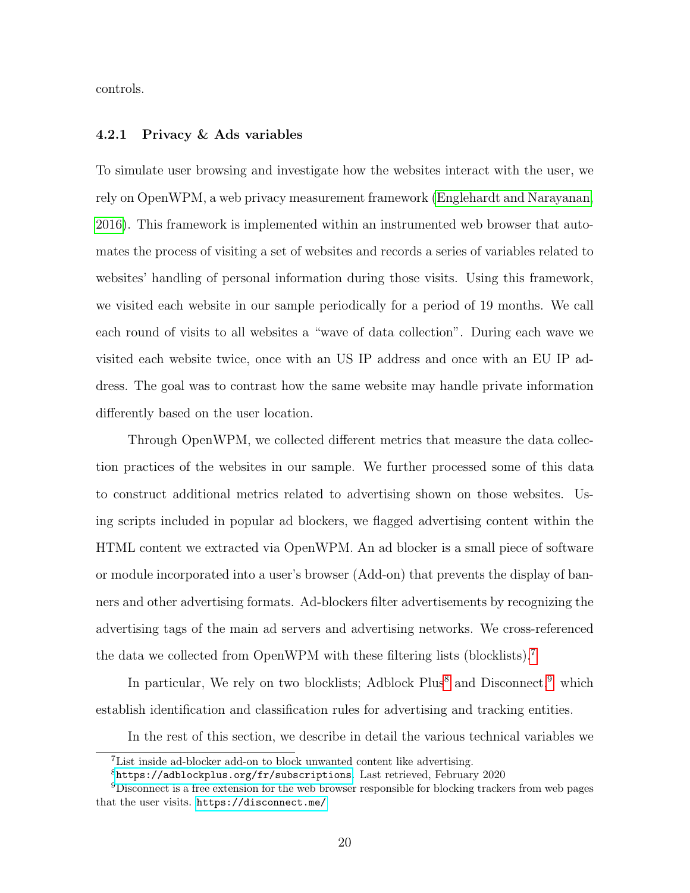controls.

#### <span id="page-19-0"></span>4.2.1 Privacy & Ads variables

To simulate user browsing and investigate how the websites interact with the user, we rely on OpenWPM, a web privacy measurement framework [\(Englehardt and Narayanan,](#page-42-12) [2016\)](#page-42-12). This framework is implemented within an instrumented web browser that automates the process of visiting a set of websites and records a series of variables related to websites' handling of personal information during those visits. Using this framework, we visited each website in our sample periodically for a period of 19 months. We call each round of visits to all websites a "wave of data collection". During each wave we visited each website twice, once with an US IP address and once with an EU IP address. The goal was to contrast how the same website may handle private information differently based on the user location.

Through OpenWPM, we collected different metrics that measure the data collection practices of the websites in our sample. We further processed some of this data to construct additional metrics related to advertising shown on those websites. Using scripts included in popular ad blockers, we flagged advertising content within the HTML content we extracted via OpenWPM. An ad blocker is a small piece of software or module incorporated into a user's browser (Add-on) that prevents the display of banners and other advertising formats. Ad-blockers filter advertisements by recognizing the advertising tags of the main ad servers and advertising networks. We cross-referenced the data we collected from OpenWPM with these filtering lists (blocklists).[7](#page-19-1)

In particular, We rely on two blocklists; Adblock  $Plus<sup>8</sup>$  $Plus<sup>8</sup>$  $Plus<sup>8</sup>$  and Disconnect.<sup>[9](#page-19-3)</sup> which establish identification and classification rules for advertising and tracking entities.

In the rest of this section, we describe in detail the various technical variables we

<span id="page-19-1"></span><sup>7</sup>List inside ad-blocker add-on to block unwanted content like advertising.

<span id="page-19-3"></span><span id="page-19-2"></span><sup>8</sup><https://adblockplus.org/fr/subscriptions>. Last retrieved, February 2020

<sup>9</sup>Disconnect is a free extension for the web browser responsible for blocking trackers from web pages that the user visits. <https://disconnect.me/>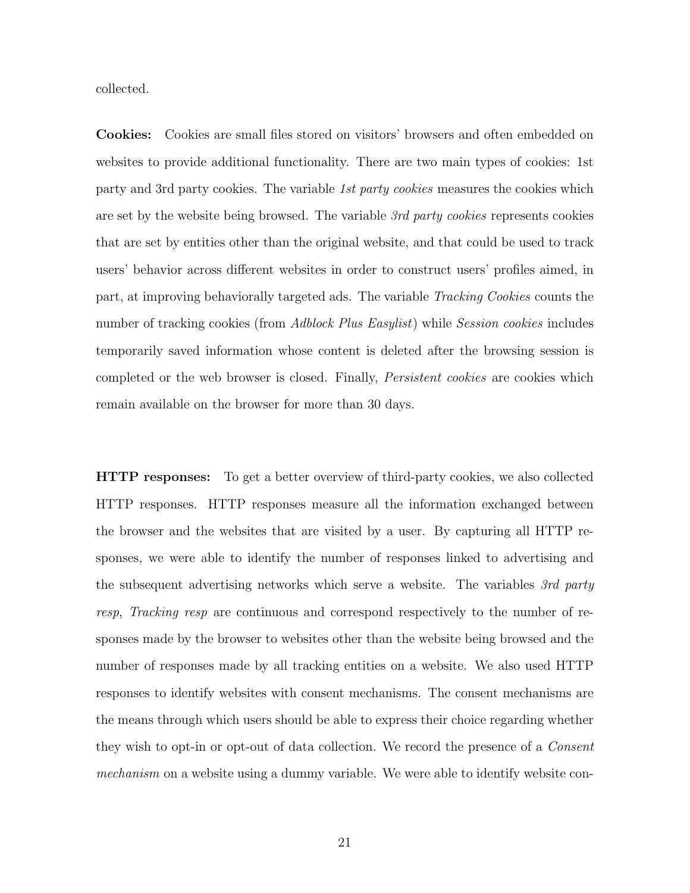collected.

Cookies: Cookies are small files stored on visitors' browsers and often embedded on websites to provide additional functionality. There are two main types of cookies: 1st party and 3rd party cookies. The variable 1st party cookies measures the cookies which are set by the website being browsed. The variable 3rd party cookies represents cookies that are set by entities other than the original website, and that could be used to track users' behavior across different websites in order to construct users' profiles aimed, in part, at improving behaviorally targeted ads. The variable Tracking Cookies counts the number of tracking cookies (from Adblock Plus Easylist) while Session cookies includes temporarily saved information whose content is deleted after the browsing session is completed or the web browser is closed. Finally, Persistent cookies are cookies which remain available on the browser for more than 30 days.

HTTP responses: To get a better overview of third-party cookies, we also collected HTTP responses. HTTP responses measure all the information exchanged between the browser and the websites that are visited by a user. By capturing all HTTP responses, we were able to identify the number of responses linked to advertising and the subsequent advertising networks which serve a website. The variables 3rd party resp, Tracking resp are continuous and correspond respectively to the number of responses made by the browser to websites other than the website being browsed and the number of responses made by all tracking entities on a website. We also used HTTP responses to identify websites with consent mechanisms. The consent mechanisms are the means through which users should be able to express their choice regarding whether they wish to opt-in or opt-out of data collection. We record the presence of a *Consent* mechanism on a website using a dummy variable. We were able to identify website con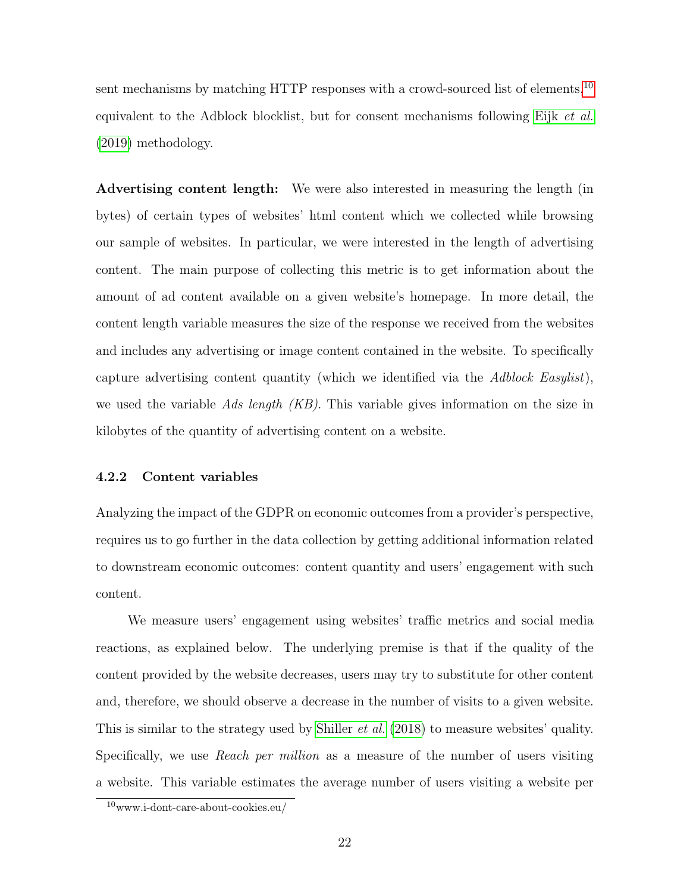sent mechanisms by matching HTTP responses with a crowd-sourced list of elements,  $^{10}$  $^{10}$  $^{10}$ equivalent to the Adblock blocklist, but for consent mechanisms following Eijk [et al.](#page-42-13) [\(2019\)](#page-42-13) methodology.

Advertising content length: We were also interested in measuring the length (in bytes) of certain types of websites' html content which we collected while browsing our sample of websites. In particular, we were interested in the length of advertising content. The main purpose of collecting this metric is to get information about the amount of ad content available on a given website's homepage. In more detail, the content length variable measures the size of the response we received from the websites and includes any advertising or image content contained in the website. To specifically capture advertising content quantity (which we identified via the Adblock Easylist), we used the variable Ads length  $(KB)$ . This variable gives information on the size in kilobytes of the quantity of advertising content on a website.

#### <span id="page-21-0"></span>4.2.2 Content variables

Analyzing the impact of the GDPR on economic outcomes from a provider's perspective, requires us to go further in the data collection by getting additional information related to downstream economic outcomes: content quantity and users' engagement with such content.

We measure users' engagement using websites' traffic metrics and social media reactions, as explained below. The underlying premise is that if the quality of the content provided by the website decreases, users may try to substitute for other content and, therefore, we should observe a decrease in the number of visits to a given website. This is similar to the strategy used by [Shiller](#page-43-12) *et al.* [\(2018\)](#page-43-12) to measure websites' quality. Specifically, we use *Reach per million* as a measure of the number of users visiting a website. This variable estimates the average number of users visiting a website per

<span id="page-21-1"></span><sup>10</sup>www.i-dont-care-about-cookies.eu/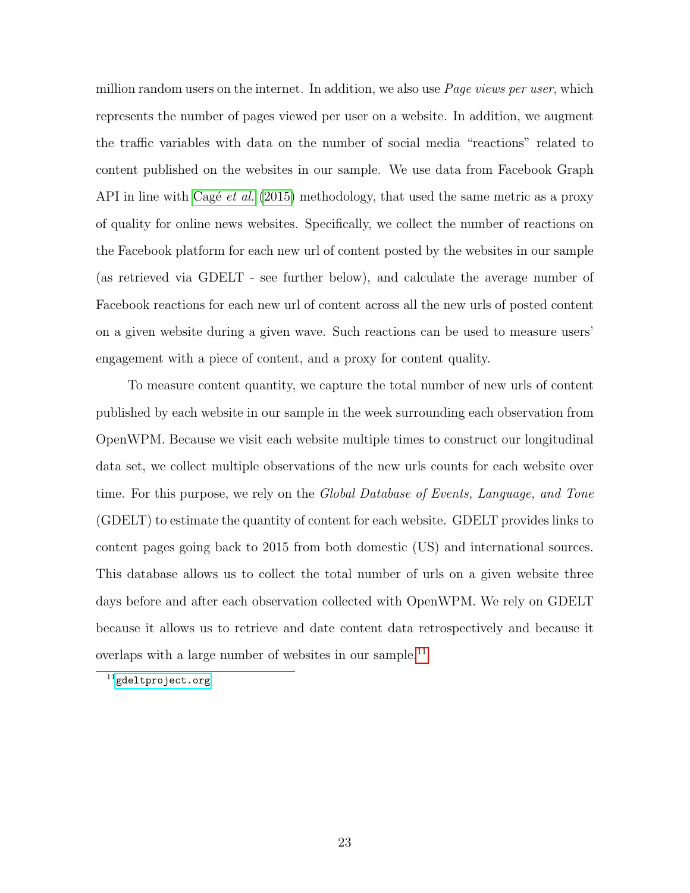million random users on the internet. In addition, we also use *Page views per user*, which represents the number of pages viewed per user on a website. In addition, we augment the traffic variables with data on the number of social media "reactions" related to content published on the websites in our sample. We use data from Facebook Graph API in line with Cagé *et al.* [\(2015\)](#page-41-11) methodology, that used the same metric as a proxy of quality for online news websites. Specifically, we collect the number of reactions on the Facebook platform for each new url of content posted by the websites in our sample (as retrieved via GDELT - see further below), and calculate the average number of Facebook reactions for each new url of content across all the new urls of posted content on a given website during a given wave. Such reactions can be used to measure users' engagement with a piece of content, and a proxy for content quality.

To measure content quantity, we capture the total number of new urls of content published by each website in our sample in the week surrounding each observation from OpenWPM. Because we visit each website multiple times to construct our longitudinal data set, we collect multiple observations of the new urls counts for each website over time. For this purpose, we rely on the *Global Database of Events, Language, and Tone* (GDELT) to estimate the quantity of content for each website. GDELT provides links to content pages going back to 2015 from both domestic (US) and international sources. This database allows us to collect the total number of urls on a given website three days before and after each observation collected with OpenWPM. We rely on GDELT because it allows us to retrieve and date content data retrospectively and because it overlaps with a large number of websites in our sample.<sup>[11](#page-22-0)</sup>

<span id="page-22-0"></span> $11$ <gdeltproject.org>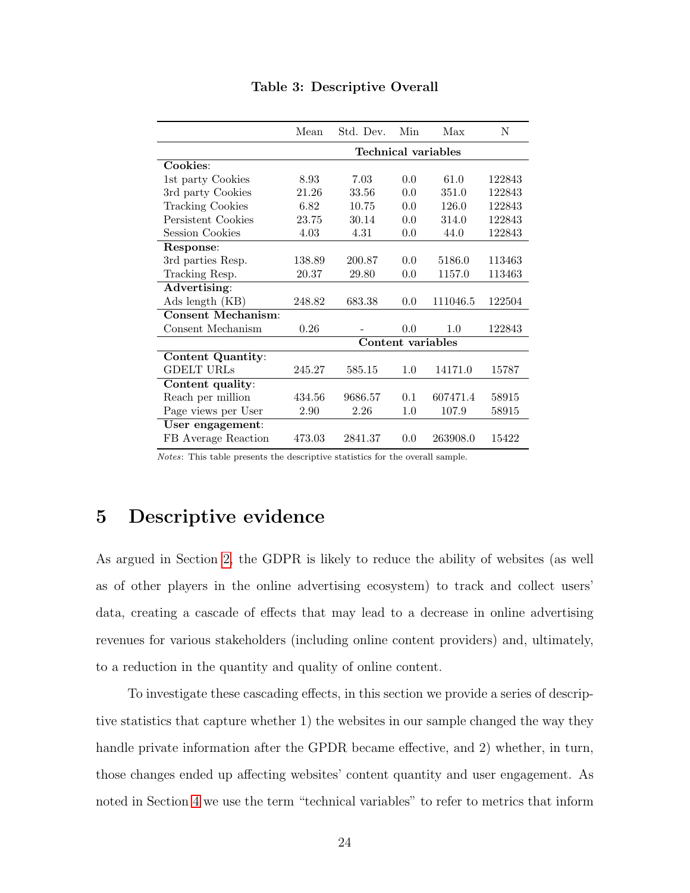|                           | Mean                | Std. Dev.         | Min | Max      | N      |  |
|---------------------------|---------------------|-------------------|-----|----------|--------|--|
|                           | Technical variables |                   |     |          |        |  |
| Cookies:                  |                     |                   |     |          |        |  |
| 1st party Cookies         | 8.93                | 7.03              | 0.0 | 61.0     | 122843 |  |
| 3rd party Cookies         | 21.26               | 33.56             | 0.0 | 351.0    | 122843 |  |
| <b>Tracking Cookies</b>   | 6.82                | 10.75             | 0.0 | 126.0    | 122843 |  |
| Persistent Cookies        | 23.75               | 30.14             | 0.0 | 314.0    | 122843 |  |
| Session Cookies           | 4.03                | 4.31              | 0.0 | 44.0     | 122843 |  |
| Response:                 |                     |                   |     |          |        |  |
| 3rd parties Resp.         | 138.89              | 200.87            | 0.0 | 5186.0   | 113463 |  |
| Tracking Resp.            | 20.37               | 29.80             | 0.0 | 1157.0   | 113463 |  |
| Advertising:              |                     |                   |     |          |        |  |
| Ads length (KB)           | 248.82              | 683.38            | 0.0 | 111046.5 | 122504 |  |
| <b>Consent Mechanism:</b> |                     |                   |     |          |        |  |
| Consent Mechanism         | 0.26                |                   | 0.0 | 1.0      | 122843 |  |
|                           |                     | Content variables |     |          |        |  |
| <b>Content Quantity:</b>  |                     |                   |     |          |        |  |
| <b>GDELT URLS</b>         | 245.27              | 585.15            | 1.0 | 14171.0  | 15787  |  |
| Content quality:          |                     |                   |     |          |        |  |
| Reach per million         | 434.56              | 9686.57           | 0.1 | 607471.4 | 58915  |  |
| Page views per User       | 2.90                | 2.26              | 1.0 | 107.9    | 58915  |  |
| User engagement:          |                     |                   |     |          |        |  |
| FB Average Reaction       | 473.03              | 2841.37           | 0.0 | 263908.0 | 15422  |  |

Table 3: Descriptive Overall

Notes: This table presents the descriptive statistics for the overall sample.

# 5 Descriptive evidence

As argued in Section [2,](#page-6-0) the GDPR is likely to reduce the ability of websites (as well as of other players in the online advertising ecosystem) to track and collect users' data, creating a cascade of effects that may lead to a decrease in online advertising revenues for various stakeholders (including online content providers) and, ultimately, to a reduction in the quantity and quality of online content.

To investigate these cascading effects, in this section we provide a series of descriptive statistics that capture whether 1) the websites in our sample changed the way they handle private information after the GPDR became effective, and 2) whether, in turn, those changes ended up affecting websites' content quantity and user engagement. As noted in Section [4](#page-13-1) we use the term "technical variables" to refer to metrics that inform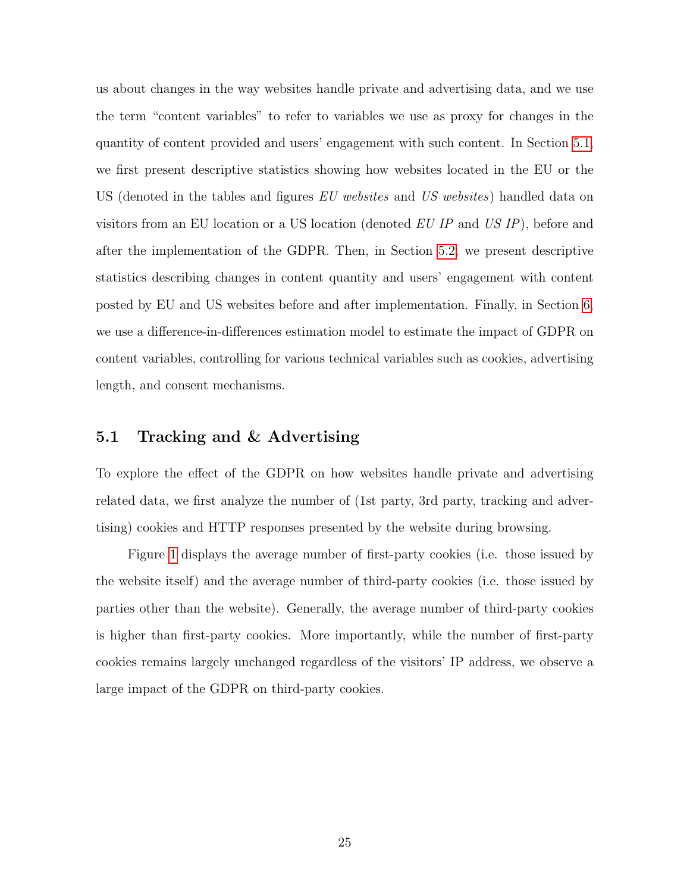us about changes in the way websites handle private and advertising data, and we use the term "content variables" to refer to variables we use as proxy for changes in the quantity of content provided and users' engagement with such content. In Section [5.1,](#page-24-0) we first present descriptive statistics showing how websites located in the EU or the US (denoted in the tables and figures EU websites and US websites) handled data on visitors from an EU location or a US location (denoted  $EU$  IP and  $US$  IP), before and after the implementation of the GDPR. Then, in Section [5.2,](#page-29-0) we present descriptive statistics describing changes in content quantity and users' engagement with content posted by EU and US websites before and after implementation. Finally, in Section [6,](#page-33-0) we use a difference-in-differences estimation model to estimate the impact of GDPR on content variables, controlling for various technical variables such as cookies, advertising length, and consent mechanisms.

## <span id="page-24-0"></span>5.1 Tracking and & Advertising

To explore the effect of the GDPR on how websites handle private and advertising related data, we first analyze the number of (1st party, 3rd party, tracking and advertising) cookies and HTTP responses presented by the website during browsing.

Figure [1](#page-25-0) displays the average number of first-party cookies (i.e. those issued by the website itself) and the average number of third-party cookies (i.e. those issued by parties other than the website). Generally, the average number of third-party cookies is higher than first-party cookies. More importantly, while the number of first-party cookies remains largely unchanged regardless of the visitors' IP address, we observe a large impact of the GDPR on third-party cookies.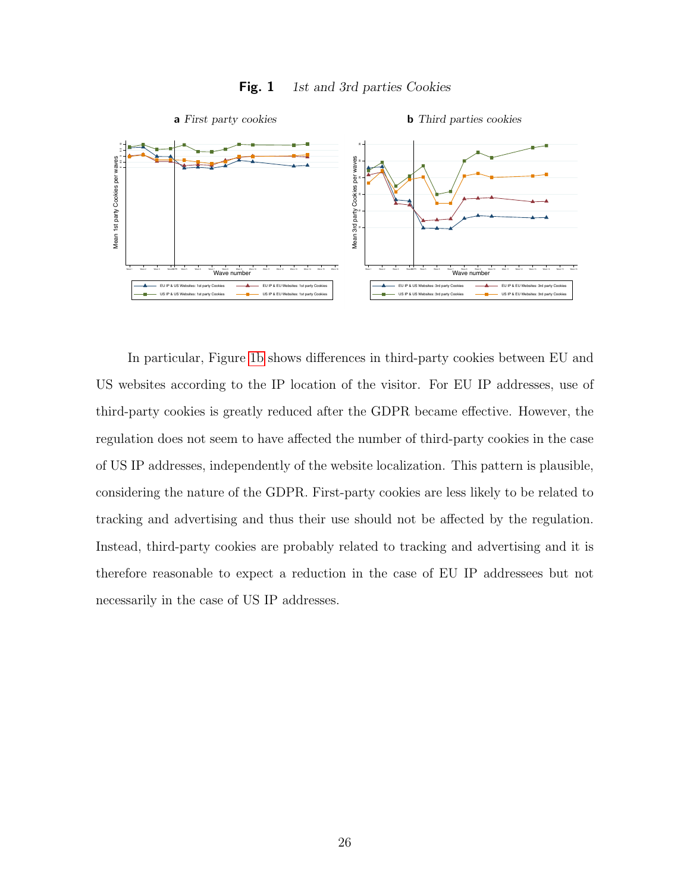

<span id="page-25-1"></span><span id="page-25-0"></span>Fig. 1 1st and 3rd parties Cookies

In particular, Figure [1b](#page-25-1) shows differences in third-party cookies between EU and US websites according to the IP location of the visitor. For EU IP addresses, use of third-party cookies is greatly reduced after the GDPR became effective. However, the regulation does not seem to have affected the number of third-party cookies in the case of US IP addresses, independently of the website localization. This pattern is plausible, considering the nature of the GDPR. First-party cookies are less likely to be related to tracking and advertising and thus their use should not be affected by the regulation. Instead, third-party cookies are probably related to tracking and advertising and it is therefore reasonable to expect a reduction in the case of EU IP addressees but not necessarily in the case of US IP addresses.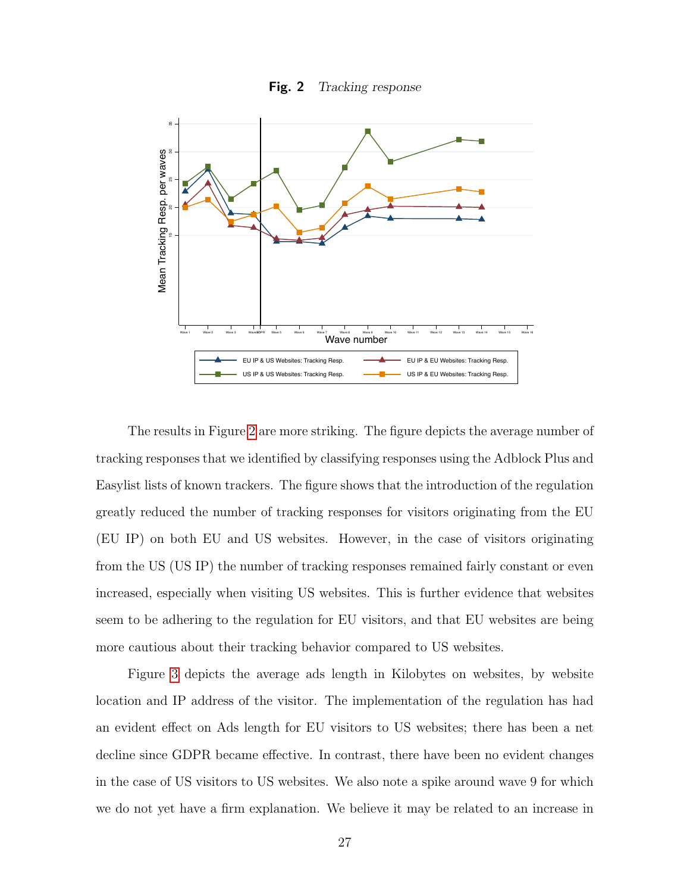<span id="page-26-0"></span>



The results in Figure [2](#page-26-0) are more striking. The figure depicts the average number of tracking responses that we identified by classifying responses using the Adblock Plus and Easylist lists of known trackers. The figure shows that the introduction of the regulation greatly reduced the number of tracking responses for visitors originating from the EU (EU IP) on both EU and US websites. However, in the case of visitors originating from the US (US IP) the number of tracking responses remained fairly constant or even increased, especially when visiting US websites. This is further evidence that websites seem to be adhering to the regulation for EU visitors, and that EU websites are being more cautious about their tracking behavior compared to US websites.

Figure [3](#page-27-0) depicts the average ads length in Kilobytes on websites, by website location and IP address of the visitor. The implementation of the regulation has had an evident effect on Ads length for EU visitors to US websites; there has been a net decline since GDPR became effective. In contrast, there have been no evident changes in the case of US visitors to US websites. We also note a spike around wave 9 for which we do not yet have a firm explanation. We believe it may be related to an increase in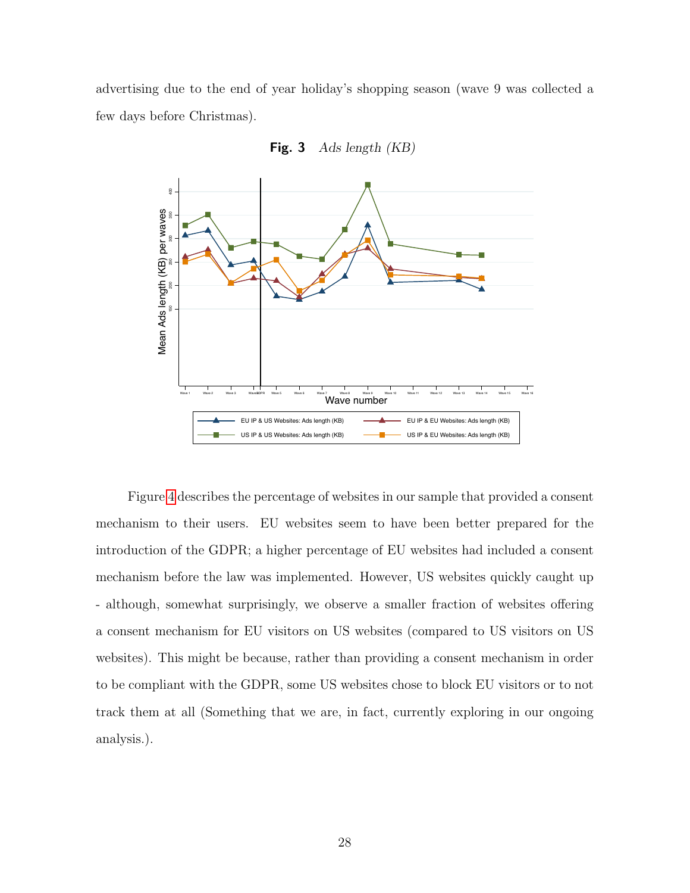advertising due to the end of year holiday's shopping season (wave 9 was collected a few days before Christmas).



<span id="page-27-0"></span>Fig. 3 Ads length (KB)

Figure [4](#page-28-0) describes the percentage of websites in our sample that provided a consent mechanism to their users. EU websites seem to have been better prepared for the introduction of the GDPR; a higher percentage of EU websites had included a consent mechanism before the law was implemented. However, US websites quickly caught up - although, somewhat surprisingly, we observe a smaller fraction of websites offering a consent mechanism for EU visitors on US websites (compared to US visitors on US websites). This might be because, rather than providing a consent mechanism in order to be compliant with the GDPR, some US websites chose to block EU visitors or to not track them at all (Something that we are, in fact, currently exploring in our ongoing analysis.).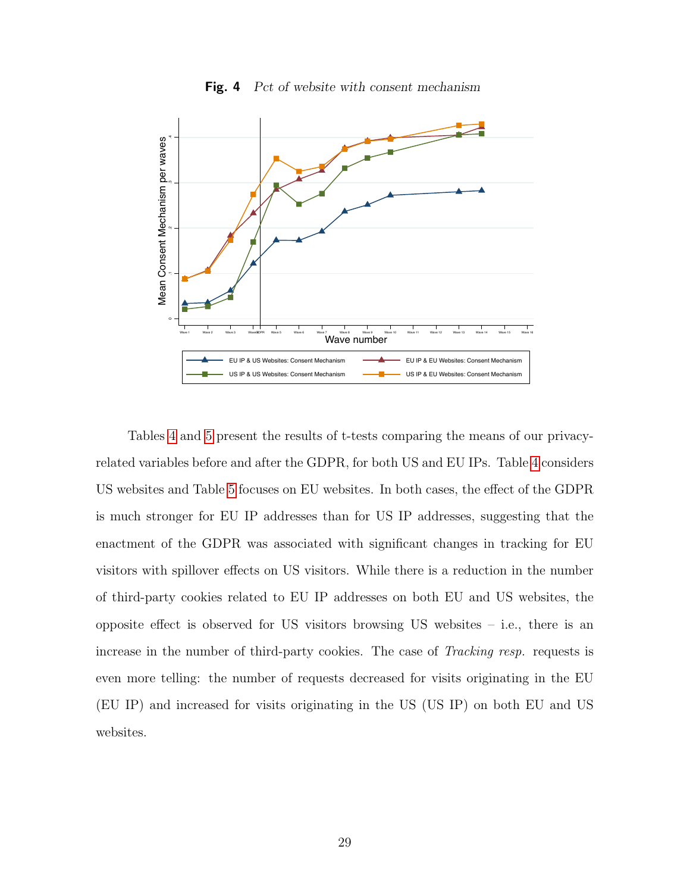

<span id="page-28-0"></span>Fig. 4 Pct of website with consent mechanism

Tables [4](#page-29-1) and [5](#page-29-2) present the results of t-tests comparing the means of our privacyrelated variables before and after the GDPR, for both US and EU IPs. Table [4](#page-29-1) considers US websites and Table [5](#page-29-2) focuses on EU websites. In both cases, the effect of the GDPR is much stronger for EU IP addresses than for US IP addresses, suggesting that the enactment of the GDPR was associated with significant changes in tracking for EU visitors with spillover effects on US visitors. While there is a reduction in the number of third-party cookies related to EU IP addresses on both EU and US websites, the opposite effect is observed for US visitors browsing US websites – i.e., there is an increase in the number of third-party cookies. The case of Tracking resp. requests is even more telling: the number of requests decreased for visits originating in the EU (EU IP) and increased for visits originating in the US (US IP) on both EU and US websites.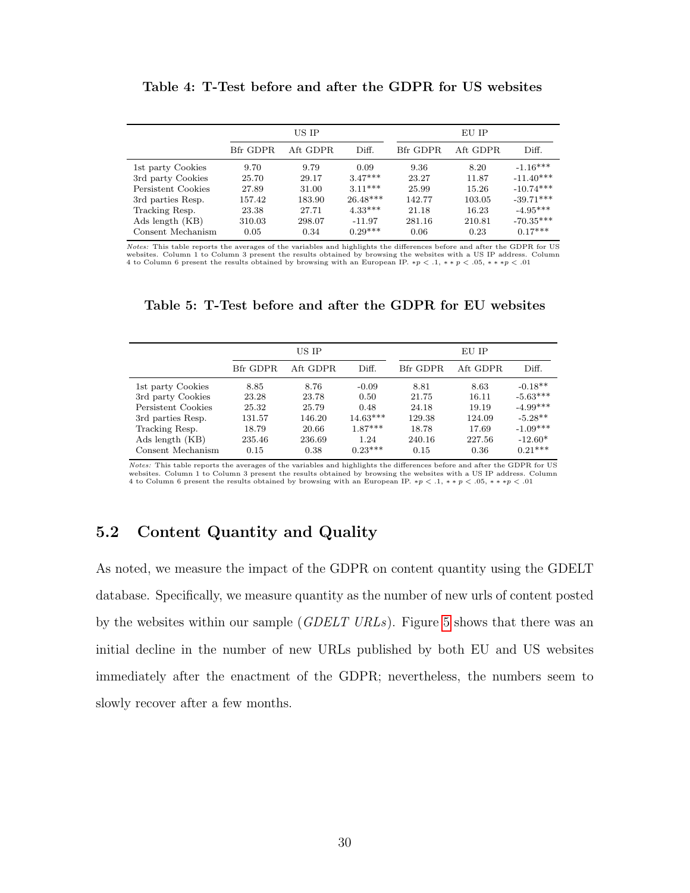#### <span id="page-29-1"></span>Table 4: T-Test before and after the GDPR for US websites

|                    |          | US IP    |            |          | EU IP    |             |
|--------------------|----------|----------|------------|----------|----------|-------------|
|                    | Bfr GDPR | Aft GDPR | Diff.      | Bfr GDPR | Aft GDPR | Diff.       |
| 1st party Cookies  | 9.70     | 9.79     | 0.09       | 9.36     | 8.20     | $-1.16***$  |
| 3rd party Cookies  | 25.70    | 29.17    | $3.47***$  | 23.27    | 11.87    | $-11.40***$ |
| Persistent Cookies | 27.89    | 31.00    | $3.11***$  | 25.99    | 15.26    | $-10.74***$ |
| 3rd parties Resp.  | 157.42   | 183.90   | $26.48***$ | 142.77   | 103.05   | $-39.71***$ |
| Tracking Resp.     | 23.38    | 27.71    | $4.33***$  | 21.18    | 16.23    | $-4.95***$  |
| Ads length (KB)    | 310.03   | 298.07   | $-11.97$   | 281.16   | 210.81   | $-70.35***$ |
| Consent Mechanism  | 0.05     | 0.34     | $0.29***$  | 0.06     | 0.23     | $0.17***$   |

Notes: This table reports the averages of the variables and highlights the differences before and after the GDPR for US websites. Column 1 to Column 3 present the results obtained by browsing the websites with a US IP address. Column 4 to Column 6 present the results obtained by browsing with an European IP. \*p < .1, \* \* p < .05, \* \* \*p <

## <span id="page-29-2"></span>Table 5: T-Test before and after the GDPR for EU websites

|                    |          | US IP    |            |          | EU IP    |            |  |
|--------------------|----------|----------|------------|----------|----------|------------|--|
|                    | Bfr GDPR | Aft GDPR | Diff.      | Bfr GDPR | Aft GDPR | Diff.      |  |
| 1st party Cookies  | 8.85     | 8.76     | $-0.09$    | 8.81     | 8.63     | $-0.18**$  |  |
| 3rd party Cookies  | 23.28    | 23.78    | 0.50       | 21.75    | 16.11    | $-5.63***$ |  |
| Persistent Cookies | 25.32    | 25.79    | 0.48       | 24.18    | 19.19    | $-4.99***$ |  |
| 3rd parties Resp.  | 131.57   | 146.20   | $14.63***$ | 129.38   | 124.09   | $-5.28**$  |  |
| Tracking Resp.     | 18.79    | 20.66    | $1.87***$  | 18.78    | 17.69    | $-1.09***$ |  |
| Ads length (KB)    | 235.46   | 236.69   | 1.24       | 240.16   | 227.56   | $-12.60*$  |  |
| Consent Mechanism  | 0.15     | 0.38     | $0.23***$  | 0.15     | 0.36     | $0.21***$  |  |

Notes: This table reports the averages of the variables and highlights the differences before and after the GDPR for US websites. Column 1 to Column 3 present the results obtained by browsing the websites with a US IP address. Column 4 to Column 6 present the results obtained by browsing with an European IP. ∗p < .1, ∗ ∗ p < .05, ∗ ∗ ∗p < .01

## <span id="page-29-0"></span>5.2 Content Quantity and Quality

As noted, we measure the impact of the GDPR on content quantity using the GDELT database. Specifically, we measure quantity as the number of new urls of content posted by the websites within our sample (*GDELT URLs*). Figure [5](#page-30-0) shows that there was an initial decline in the number of new URLs published by both EU and US websites immediately after the enactment of the GDPR; nevertheless, the numbers seem to slowly recover after a few months.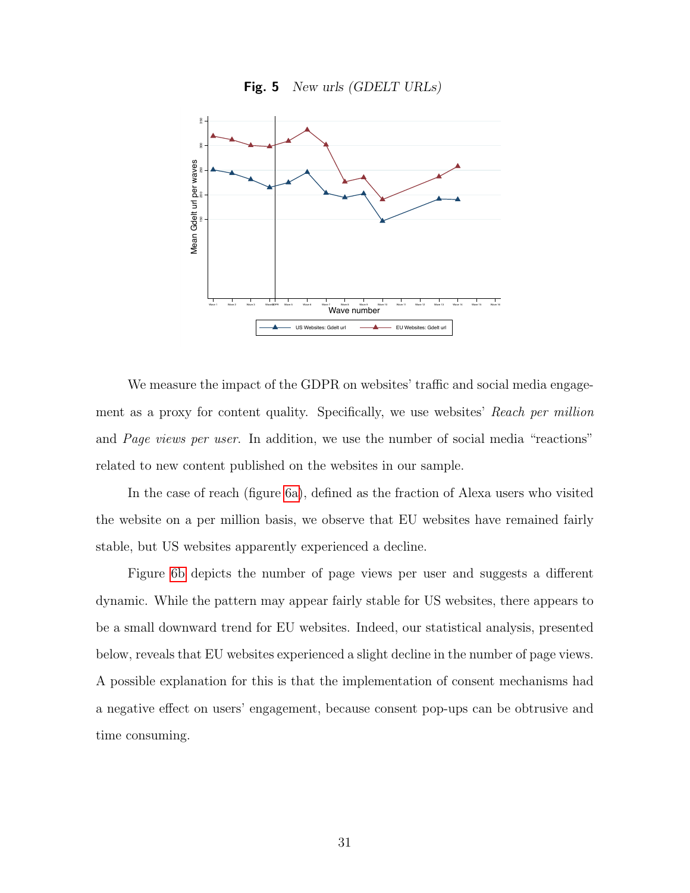<span id="page-30-0"></span>



We measure the impact of the GDPR on websites' traffic and social media engagement as a proxy for content quality. Specifically, we use websites' Reach per million and Page views per user. In addition, we use the number of social media "reactions" related to new content published on the websites in our sample.

In the case of reach (figure [6a\)](#page-31-0), defined as the fraction of Alexa users who visited the website on a per million basis, we observe that EU websites have remained fairly stable, but US websites apparently experienced a decline.

Figure [6b](#page-31-1) depicts the number of page views per user and suggests a different dynamic. While the pattern may appear fairly stable for US websites, there appears to be a small downward trend for EU websites. Indeed, our statistical analysis, presented below, reveals that EU websites experienced a slight decline in the number of page views. A possible explanation for this is that the implementation of consent mechanisms had a negative effect on users' engagement, because consent pop-ups can be obtrusive and time consuming.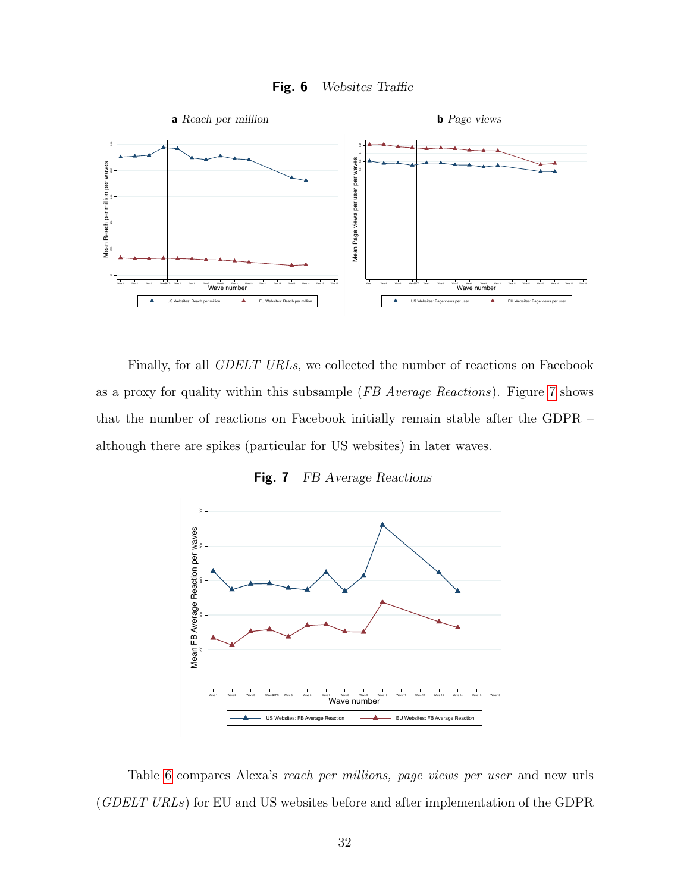<span id="page-31-1"></span>

<span id="page-31-0"></span>

Finally, for all GDELT URLs, we collected the number of reactions on Facebook as a proxy for quality within this subsample (FB Average Reactions). Figure [7](#page-31-2) shows that the number of reactions on Facebook initially remain stable after the GDPR – although there are spikes (particular for US websites) in later waves.

<span id="page-31-2"></span>Fig. 7 FB Average Reactions



Table [6](#page-32-0) compares Alexa's reach per millions, page views per user and new urls (GDELT URLs) for EU and US websites before and after implementation of the GDPR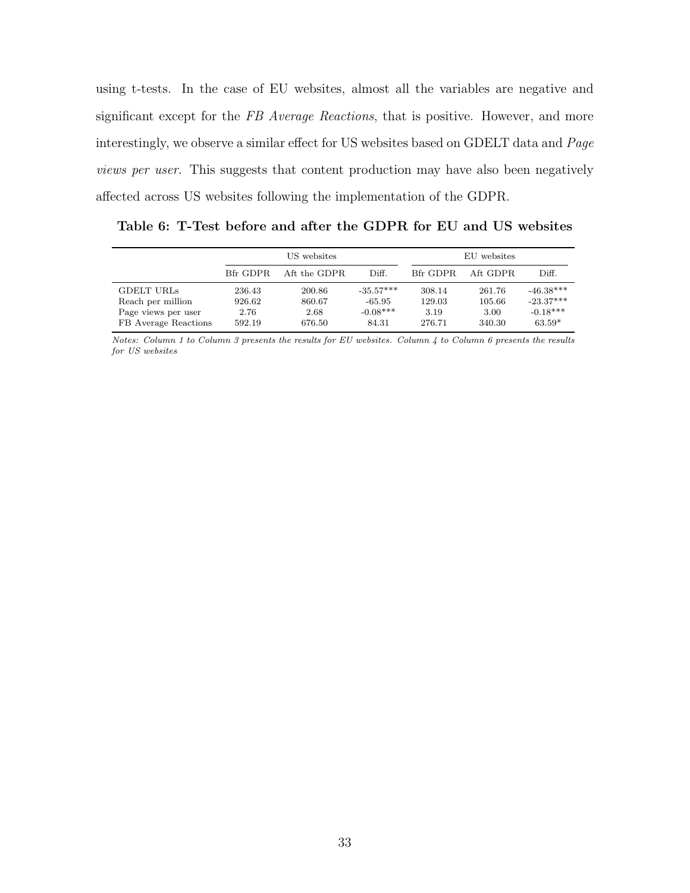using t-tests. In the case of EU websites, almost all the variables are negative and significant except for the FB Average Reactions, that is positive. However, and more interestingly, we observe a similar effect for US websites based on GDELT data and Page views per user. This suggests that content production may have also been negatively affected across US websites following the implementation of the GDPR.

<span id="page-32-0"></span>Table 6: T-Test before and after the GDPR for EU and US websites

|                                                                                       | US websites                        |                                    |                                              |                                    | EU websites                        |                                                      |
|---------------------------------------------------------------------------------------|------------------------------------|------------------------------------|----------------------------------------------|------------------------------------|------------------------------------|------------------------------------------------------|
|                                                                                       | Bfr GDPR                           | Aft the GDPR                       | Diff.                                        | Bfr GDPR                           | Aft GDPR                           | Diff.                                                |
| <b>GDELT URLS</b><br>Reach per million<br>Page views per user<br>FB Average Reactions | 236.43<br>926.62<br>2.76<br>592.19 | 200.86<br>860.67<br>2.68<br>676.50 | $-35.57***$<br>-65.95<br>$-0.08***$<br>84.31 | 308.14<br>129.03<br>3.19<br>276.71 | 261.76<br>105.66<br>3.00<br>340.30 | $-46.38***$<br>$-23.37***$<br>$-0.18***$<br>$63.59*$ |

Notes: Column 1 to Column 3 presents the results for EU websites. Column 4 to Column 6 presents the results for US websites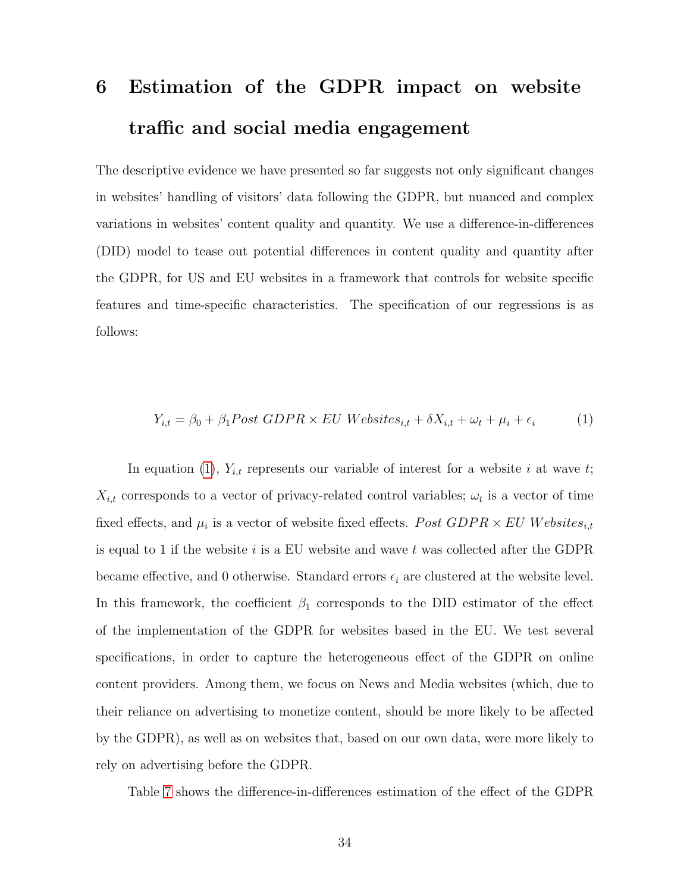# <span id="page-33-0"></span>6 Estimation of the GDPR impact on website traffic and social media engagement

The descriptive evidence we have presented so far suggests not only significant changes in websites' handling of visitors' data following the GDPR, but nuanced and complex variations in websites' content quality and quantity. We use a difference-in-differences (DID) model to tease out potential differences in content quality and quantity after the GDPR, for US and EU websites in a framework that controls for website specific features and time-specific characteristics. The specification of our regressions is as follows:

<span id="page-33-1"></span>
$$
Y_{i,t} = \beta_0 + \beta_1 Post GDPR \times EU\ Website{s_{i,t}} + \delta X_{i,t} + \omega_t + \mu_i + \epsilon_i \tag{1}
$$

In equation [\(1\)](#page-33-1),  $Y_{i,t}$  represents our variable of interest for a website i at wave t;  $X_{i,t}$  corresponds to a vector of privacy-related control variables;  $\omega_t$  is a vector of time fixed effects, and  $\mu_i$  is a vector of website fixed effects.  $Post GDPR \times EU$  Websites<sub>it</sub> is equal to 1 if the website i is a EU website and wave t was collected after the GDPR became effective, and 0 otherwise. Standard errors  $\epsilon_i$  are clustered at the website level. In this framework, the coefficient  $\beta_1$  corresponds to the DID estimator of the effect of the implementation of the GDPR for websites based in the EU. We test several specifications, in order to capture the heterogeneous effect of the GDPR on online content providers. Among them, we focus on News and Media websites (which, due to their reliance on advertising to monetize content, should be more likely to be affected by the GDPR), as well as on websites that, based on our own data, were more likely to rely on advertising before the GDPR.

Table [7](#page-35-0) shows the difference-in-differences estimation of the effect of the GDPR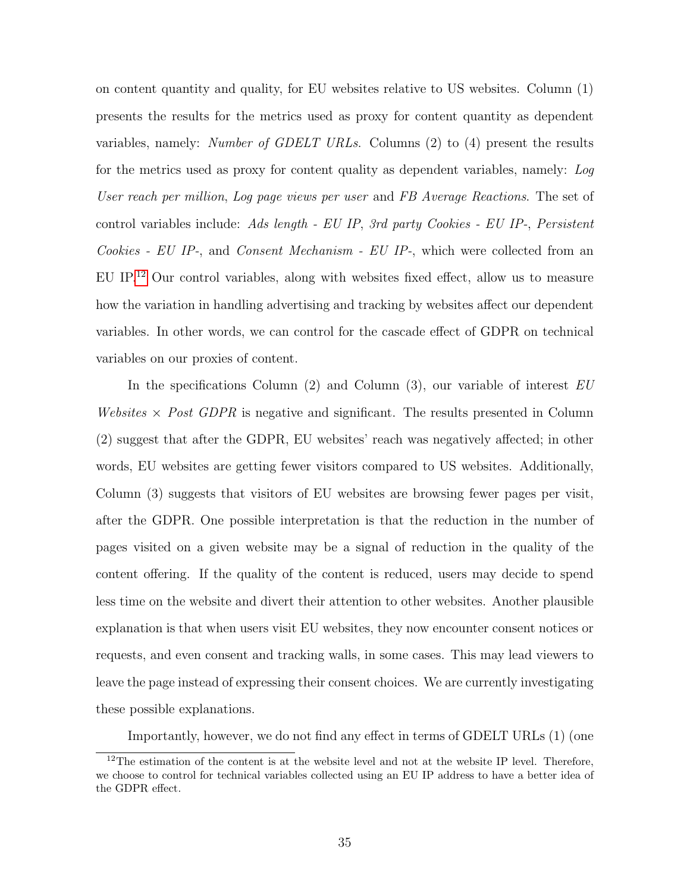on content quantity and quality, for EU websites relative to US websites. Column (1) presents the results for the metrics used as proxy for content quantity as dependent variables, namely: Number of GDELT URLs. Columns (2) to (4) present the results for the metrics used as proxy for content quality as dependent variables, namely: Log User reach per million, Log page views per user and FB Average Reactions. The set of control variables include: Ads length - EU IP, 3rd party Cookies - EU IP-, Persistent Cookies - EU IP-, and Consent Mechanism - EU IP-, which were collected from an EU IP.<sup>[12](#page-34-0)</sup> Our control variables, along with websites fixed effect, allow us to measure how the variation in handling advertising and tracking by websites affect our dependent variables. In other words, we can control for the cascade effect of GDPR on technical variables on our proxies of content.

In the specifications Column  $(2)$  and Column  $(3)$ , our variable of interest EU Websites  $\times$  Post GDPR is negative and significant. The results presented in Column (2) suggest that after the GDPR, EU websites' reach was negatively affected; in other words, EU websites are getting fewer visitors compared to US websites. Additionally, Column (3) suggests that visitors of EU websites are browsing fewer pages per visit, after the GDPR. One possible interpretation is that the reduction in the number of pages visited on a given website may be a signal of reduction in the quality of the content offering. If the quality of the content is reduced, users may decide to spend less time on the website and divert their attention to other websites. Another plausible explanation is that when users visit EU websites, they now encounter consent notices or requests, and even consent and tracking walls, in some cases. This may lead viewers to leave the page instead of expressing their consent choices. We are currently investigating these possible explanations.

Importantly, however, we do not find any effect in terms of GDELT URLs (1) (one

<span id="page-34-0"></span> $12$ The estimation of the content is at the website level and not at the website IP level. Therefore, we choose to control for technical variables collected using an EU IP address to have a better idea of the GDPR effect.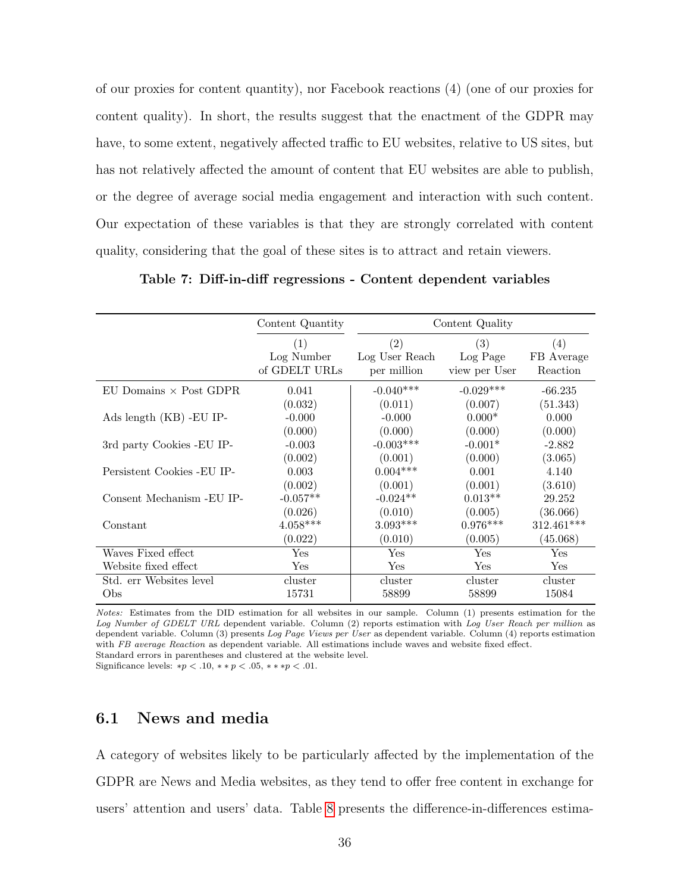of our proxies for content quantity), nor Facebook reactions (4) (one of our proxies for content quality). In short, the results suggest that the enactment of the GDPR may have, to some extent, negatively affected traffic to EU websites, relative to US sites, but has not relatively affected the amount of content that EU websites are able to publish, or the degree of average social media engagement and interaction with such content. Our expectation of these variables is that they are strongly correlated with content quality, considering that the goal of these sites is to attract and retain viewers.

<span id="page-35-0"></span>Table 7: Diff-in-diff regressions - Content dependent variables

|                               | Content Quantity                   |                                      | Content Quality                  |                               |
|-------------------------------|------------------------------------|--------------------------------------|----------------------------------|-------------------------------|
|                               | (1)<br>Log Number<br>of GDELT URLs | (2)<br>Log User Reach<br>per million | (3)<br>Log Page<br>view per User | (4)<br>FB Average<br>Reaction |
| EU Domains $\times$ Post GDPR | 0.041                              | $-0.040***$                          | $-0.029***$                      | $-66.235$                     |
|                               | (0.032)                            | (0.011)                              | (0.007)                          | (51.343)                      |
| Ads length $(KB)$ -EU IP-     | $-0.000$                           | $-0.000$                             | $0.000*$                         | 0.000                         |
|                               | (0.000)                            | (0.000)                              | (0.000)                          | (0.000)                       |
| 3rd party Cookies - EU IP-    | $-0.003$                           | $-0.003***$                          | $-0.001*$                        | $-2.882$                      |
|                               | (0.002)                            | (0.001)                              | (0.000)                          | (3.065)                       |
| Persistent Cookies - EU IP-   | 0.003                              | $0.004***$                           | 0.001                            | 4.140                         |
|                               | (0.002)                            | (0.001)                              | (0.001)                          | (3.610)                       |
| Consent Mechanism -EU IP-     | $-0.057**$                         | $-0.024**$                           | $0.013**$                        | 29.252                        |
|                               | (0.026)                            | (0.010)                              | (0.005)                          | (36.066)                      |
| Constant                      | $4.058***$                         | $3.093***$                           | $0.976***$                       | 312.461***                    |
|                               | (0.022)                            | (0.010)                              | (0.005)                          | (45.068)                      |
| Waves Fixed effect            | Yes                                | Yes                                  | Yes                              | Yes                           |
| Website fixed effect          | Yes                                | Yes                                  | Yes                              | Yes                           |
| Std. err Websites level       | cluster                            | cluster                              | cluster                          | cluster                       |
| Obs                           | 15731                              | 58899                                | 58899                            | 15084                         |

Notes: Estimates from the DID estimation for all websites in our sample. Column (1) presents estimation for the Log Number of GDELT URL dependent variable. Column (2) reports estimation with Log User Reach per million as dependent variable. Column (3) presents Log Page Views per User as dependent variable. Column (4) reports estimation with FB average Reaction as dependent variable. All estimations include waves and website fixed effect. Standard errors in parentheses and clustered at the website level.

Significance levels: \* $p < .10$ , \*\* $p < .05$ , \*\*\* $p < .01$ .

## 6.1 News and media

A category of websites likely to be particularly affected by the implementation of the GDPR are News and Media websites, as they tend to offer free content in exchange for users' attention and users' data. Table [8](#page-37-0) presents the difference-in-differences estima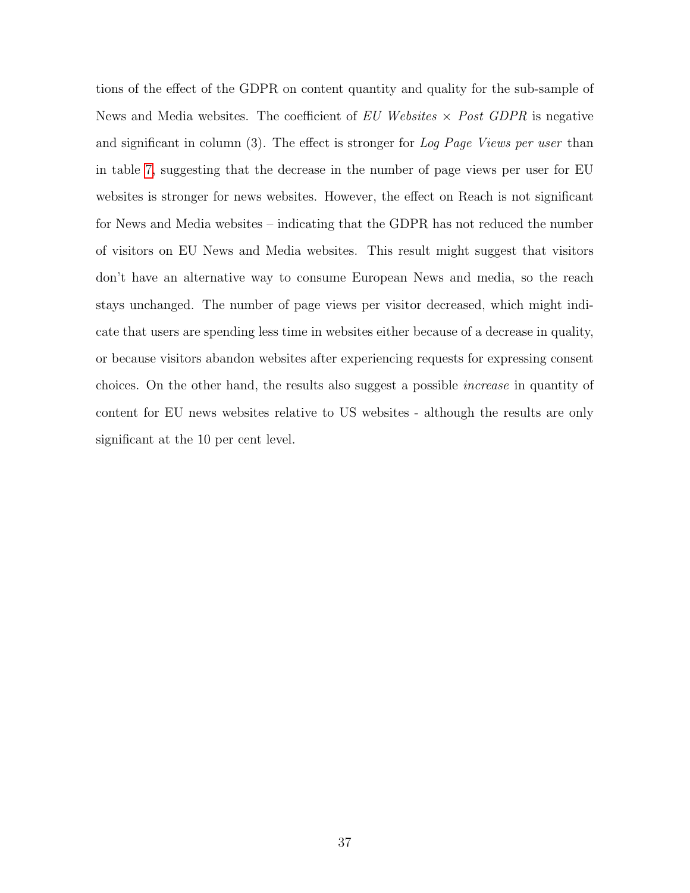tions of the effect of the GDPR on content quantity and quality for the sub-sample of News and Media websites. The coefficient of  $EU$  Websites  $\times$  Post GDPR is negative and significant in column (3). The effect is stronger for Log Page Views per user than in table [7,](#page-35-0) suggesting that the decrease in the number of page views per user for EU websites is stronger for news websites. However, the effect on Reach is not significant for News and Media websites – indicating that the GDPR has not reduced the number of visitors on EU News and Media websites. This result might suggest that visitors don't have an alternative way to consume European News and media, so the reach stays unchanged. The number of page views per visitor decreased, which might indicate that users are spending less time in websites either because of a decrease in quality, or because visitors abandon websites after experiencing requests for expressing consent choices. On the other hand, the results also suggest a possible increase in quantity of content for EU news websites relative to US websites - although the results are only significant at the 10 per cent level.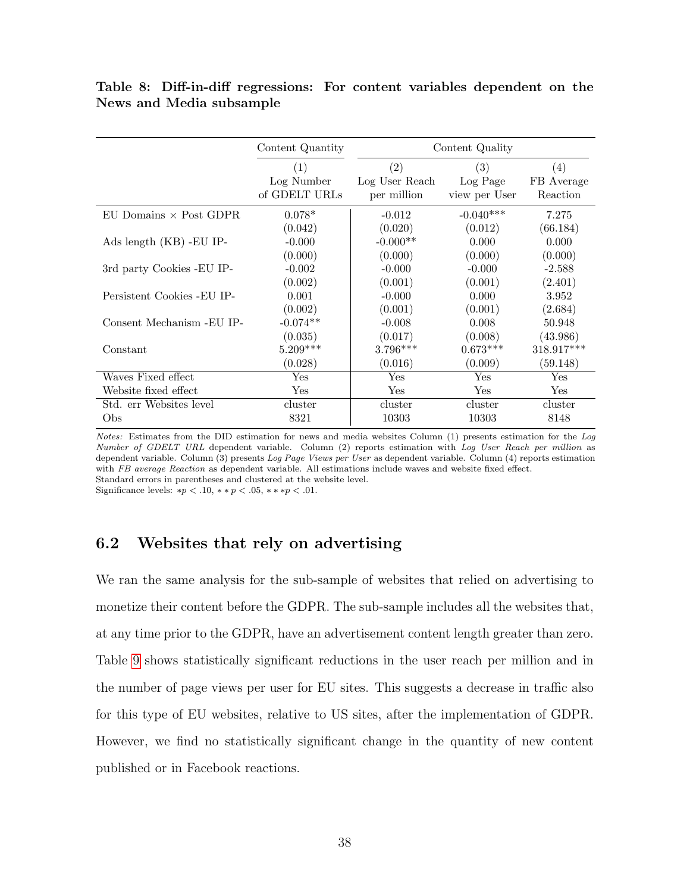<span id="page-37-0"></span>Table 8: Diff-in-diff regressions: For content variables dependent on the News and Media subsample

|                               | Content Quantity                   |                                      | Content Quality                  |                               |
|-------------------------------|------------------------------------|--------------------------------------|----------------------------------|-------------------------------|
|                               | (1)<br>Log Number<br>of GDELT URLs | (2)<br>Log User Reach<br>per million | (3)<br>Log Page<br>view per User | (4)<br>FB Average<br>Reaction |
| EU Domains $\times$ Post GDPR | $0.078*$                           | $-0.012$                             | $-0.040***$                      | 7.275                         |
|                               | (0.042)                            | (0.020)                              | (0.012)                          | (66.184)                      |
| Ads length (KB) -EU IP-       | $-0.000$                           | $-0.000**$                           | 0.000                            | 0.000                         |
|                               | (0.000)                            | (0.000)                              | (0.000)                          | (0.000)                       |
| 3rd party Cookies - EU IP-    | $-0.002$                           | $-0.000$                             | $-0.000$                         | $-2.588$                      |
|                               | (0.002)                            | (0.001)                              | (0.001)                          | (2.401)                       |
| Persistent Cookies - EU IP-   | 0.001                              | $-0.000$                             | 0.000                            | 3.952                         |
|                               | (0.002)                            | (0.001)                              | (0.001)                          | (2.684)                       |
| Consent Mechanism - EU IP-    | $-0.074**$                         | $-0.008$                             | 0.008                            | 50.948                        |
|                               | (0.035)                            | (0.017)                              | (0.008)                          | (43.986)                      |
| Constant                      | $5.209***$                         | $3.796***$                           | $0.673***$                       | 318.917***                    |
|                               | (0.028)                            | (0.016)                              | (0.009)                          | (59.148)                      |
| Waves Fixed effect            | Yes                                | Yes                                  | Yes                              | Yes                           |
| Website fixed effect          | Yes                                | Yes                                  | Yes                              | Yes                           |
| Std. err Websites level       | cluster                            | cluster                              | cluster                          | cluster                       |
| Obs                           | 8321                               | 10303                                | 10303                            | 8148                          |

Notes: Estimates from the DID estimation for news and media websites Column (1) presents estimation for the Log Number of GDELT URL dependent variable. Column (2) reports estimation with Log User Reach per million as dependent variable. Column (3) presents Log Page Views per User as dependent variable. Column (4) reports estimation with FB average Reaction as dependent variable. All estimations include waves and website fixed effect. Standard errors in parentheses and clustered at the website level.

Significance levels: \* $p < .10$ , \*\* $p < .05$ , \*\*\* $p < .01$ .

## 6.2 Websites that rely on advertising

We ran the same analysis for the sub-sample of websites that relied on advertising to monetize their content before the GDPR. The sub-sample includes all the websites that, at any time prior to the GDPR, have an advertisement content length greater than zero. Table [9](#page-38-0) shows statistically significant reductions in the user reach per million and in the number of page views per user for EU sites. This suggests a decrease in traffic also for this type of EU websites, relative to US sites, after the implementation of GDPR. However, we find no statistically significant change in the quantity of new content published or in Facebook reactions.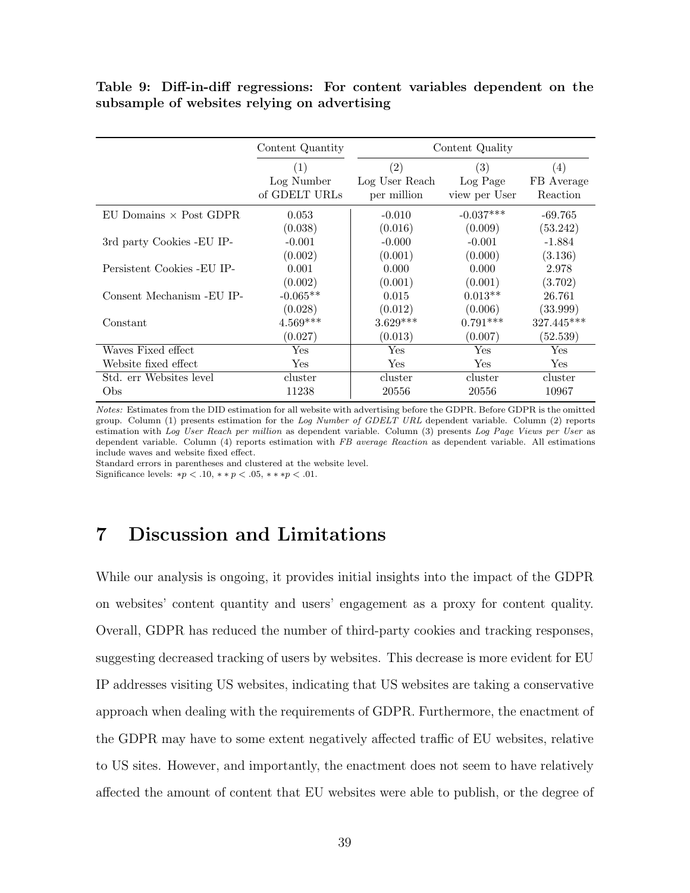<span id="page-38-0"></span>Table 9: Diff-in-diff regressions: For content variables dependent on the subsample of websites relying on advertising

|                                  | Content Quantity                   | Content Quality                      |                                  |                               |
|----------------------------------|------------------------------------|--------------------------------------|----------------------------------|-------------------------------|
|                                  | (1)<br>Log Number<br>of GDELT URLs | (2)<br>Log User Reach<br>per million | (3)<br>Log Page<br>view per User | (4)<br>FB Average<br>Reaction |
| $EU$ Domains $\times$ Post GDPR. | 0.053                              | $-0.010$                             | $-0.037***$                      | $-69.765$                     |
|                                  | (0.038)                            | (0.016)                              | (0.009)                          | (53.242)                      |
| 3rd party Cookies - EU IP-       | $-0.001$                           | $-0.000$                             | $-0.001$                         | $-1.884$                      |
|                                  | (0.002)                            | (0.001)                              | (0.000)                          | (3.136)                       |
| Persistent Cookies - EU IP-      | 0.001                              | 0.000                                | 0.000                            | 2.978                         |
|                                  | (0.002)                            | (0.001)                              | (0.001)                          | (3.702)                       |
| Consent Mechanism - EU IP-       | $-0.065**$                         | 0.015                                | $0.013**$                        | 26.761                        |
|                                  | (0.028)                            | (0.012)                              | (0.006)                          | (33.999)                      |
| Constant                         | $4.569***$                         | $3.629***$                           | $0.791***$                       | $327.445***$                  |
|                                  | (0.027)                            | (0.013)                              | (0.007)                          | (52.539)                      |
| Waves Fixed effect               | Yes                                | $\operatorname{Yes}$                 | $\operatorname{Yes}$             | $\operatorname{Yes}$          |
| Website fixed effect             | Yes                                | $\operatorname{Yes}$                 | $\operatorname{Yes}$             | $\operatorname{Yes}$          |
| Std. err Websites level          | cluster                            | cluster                              | cluster                          | cluster                       |
| Obs                              | 11238                              | 20556                                | 20556                            | 10967                         |

Notes: Estimates from the DID estimation for all website with advertising before the GDPR. Before GDPR is the omitted group. Column (1) presents estimation for the Log Number of GDELT URL dependent variable. Column (2) reports estimation with Log User Reach per million as dependent variable. Column (3) presents Log Page Views per User as dependent variable. Column (4) reports estimation with FB average Reaction as dependent variable. All estimations include waves and website fixed effect.

Standard errors in parentheses and clustered at the website level. Significance levels:  $*p < .10, **p < .05, ***p < .01$ .

# 7 Discussion and Limitations

While our analysis is ongoing, it provides initial insights into the impact of the GDPR on websites' content quantity and users' engagement as a proxy for content quality. Overall, GDPR has reduced the number of third-party cookies and tracking responses, suggesting decreased tracking of users by websites. This decrease is more evident for EU IP addresses visiting US websites, indicating that US websites are taking a conservative approach when dealing with the requirements of GDPR. Furthermore, the enactment of the GDPR may have to some extent negatively affected traffic of EU websites, relative to US sites. However, and importantly, the enactment does not seem to have relatively affected the amount of content that EU websites were able to publish, or the degree of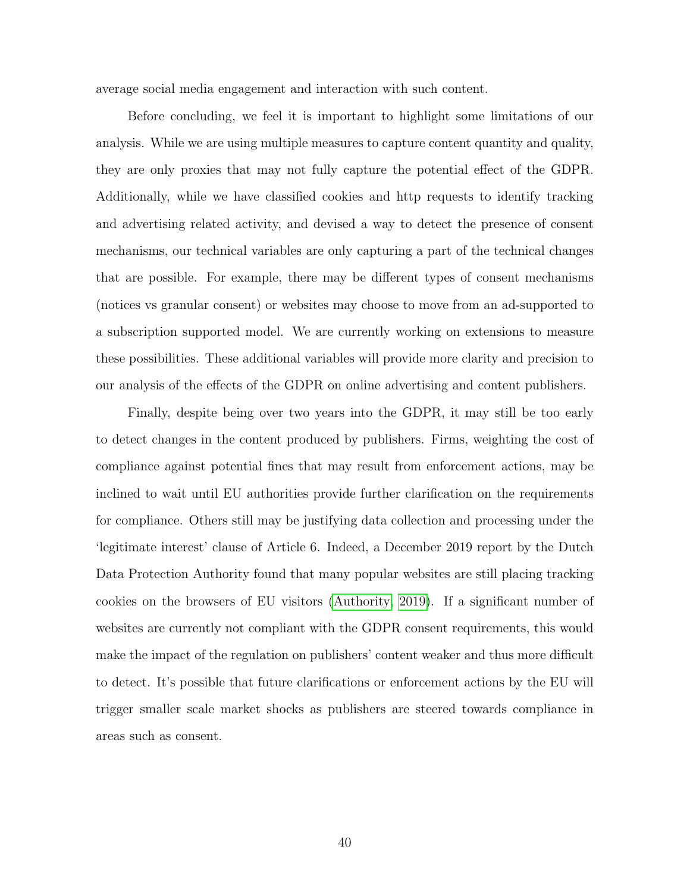average social media engagement and interaction with such content.

Before concluding, we feel it is important to highlight some limitations of our analysis. While we are using multiple measures to capture content quantity and quality, they are only proxies that may not fully capture the potential effect of the GDPR. Additionally, while we have classified cookies and http requests to identify tracking and advertising related activity, and devised a way to detect the presence of consent mechanisms, our technical variables are only capturing a part of the technical changes that are possible. For example, there may be different types of consent mechanisms (notices vs granular consent) or websites may choose to move from an ad-supported to a subscription supported model. We are currently working on extensions to measure these possibilities. These additional variables will provide more clarity and precision to our analysis of the effects of the GDPR on online advertising and content publishers.

Finally, despite being over two years into the GDPR, it may still be too early to detect changes in the content produced by publishers. Firms, weighting the cost of compliance against potential fines that may result from enforcement actions, may be inclined to wait until EU authorities provide further clarification on the requirements for compliance. Others still may be justifying data collection and processing under the 'legitimate interest' clause of Article 6. Indeed, a December 2019 report by the Dutch Data Protection Authority found that many popular websites are still placing tracking cookies on the browsers of EU visitors [\(Authority, 2019\)](#page-41-12). If a significant number of websites are currently not compliant with the GDPR consent requirements, this would make the impact of the regulation on publishers' content weaker and thus more difficult to detect. It's possible that future clarifications or enforcement actions by the EU will trigger smaller scale market shocks as publishers are steered towards compliance in areas such as consent.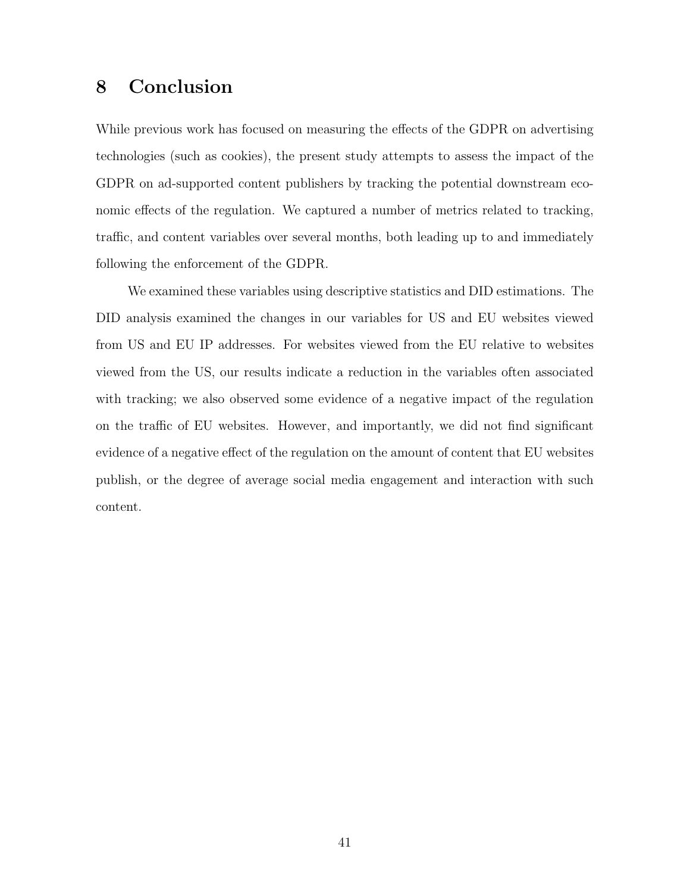# 8 Conclusion

While previous work has focused on measuring the effects of the GDPR on advertising technologies (such as cookies), the present study attempts to assess the impact of the GDPR on ad-supported content publishers by tracking the potential downstream economic effects of the regulation. We captured a number of metrics related to tracking, traffic, and content variables over several months, both leading up to and immediately following the enforcement of the GDPR.

We examined these variables using descriptive statistics and DID estimations. The DID analysis examined the changes in our variables for US and EU websites viewed from US and EU IP addresses. For websites viewed from the EU relative to websites viewed from the US, our results indicate a reduction in the variables often associated with tracking; we also observed some evidence of a negative impact of the regulation on the traffic of EU websites. However, and importantly, we did not find significant evidence of a negative effect of the regulation on the amount of content that EU websites publish, or the degree of average social media engagement and interaction with such content.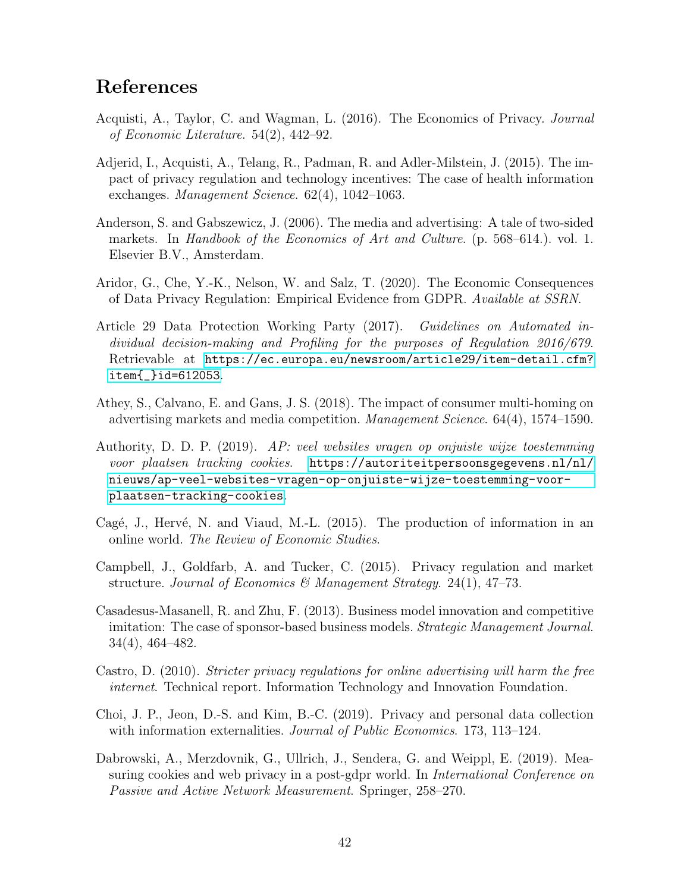# References

- <span id="page-41-1"></span>Acquisti, A., Taylor, C. and Wagman, L. (2016). The Economics of Privacy. Journal of Economic Literature. 54(2), 442–92.
- <span id="page-41-2"></span>Adjerid, I., Acquisti, A., Telang, R., Padman, R. and Adler-Milstein, J. (2015). The impact of privacy regulation and technology incentives: The case of health information exchanges. Management Science. 62(4), 1042–1063.
- <span id="page-41-8"></span>Anderson, S. and Gabszewicz, J. (2006). The media and advertising: A tale of two-sided markets. In Handbook of the Economics of Art and Culture. (p. 568–614.). vol. 1. Elsevier B.V., Amsterdam.
- <span id="page-41-7"></span>Aridor, G., Che, Y.-K., Nelson, W. and Salz, T. (2020). The Economic Consequences of Data Privacy Regulation: Empirical Evidence from GDPR. Available at SSRN.
- <span id="page-41-10"></span>Article 29 Data Protection Working Party (2017). Guidelines on Automated individual decision-making and Profiling for the purposes of Regulation 2016/679. Retrievable at [https://ec.europa.eu/newsroom/article29/item-detail.cfm?](https://ec.europa.eu/newsroom/article29/item-detail.cfm?item{_}id=612053) [item{\\_}id=612053](https://ec.europa.eu/newsroom/article29/item-detail.cfm?item{_}id=612053).
- <span id="page-41-9"></span>Athey, S., Calvano, E. and Gans, J. S. (2018). The impact of consumer multi-homing on advertising markets and media competition. Management Science. 64(4), 1574–1590.
- <span id="page-41-12"></span>Authority, D. D. P. (2019). AP: veel websites vragen op onjuiste wijze toestemming voor plaatsen tracking cookies. [https://autoriteitpersoonsgegevens.nl/nl/](https://autoriteitpersoonsgegevens.nl/nl/nieuws/ap-veel-websites-vragen-op-onjuiste-wijze-toestemming-voor-plaatsen-tracking-cookies) [nieuws/ap-veel-websites-vragen-op-onjuiste-wijze-toestemming-voor](https://autoriteitpersoonsgegevens.nl/nl/nieuws/ap-veel-websites-vragen-op-onjuiste-wijze-toestemming-voor-plaatsen-tracking-cookies)[plaatsen-tracking-cookies](https://autoriteitpersoonsgegevens.nl/nl/nieuws/ap-veel-websites-vragen-op-onjuiste-wijze-toestemming-voor-plaatsen-tracking-cookies).
- <span id="page-41-11"></span>Cagé, J., Hervé, N. and Viaud, M.-L.  $(2015)$ . The production of information in an online world. The Review of Economic Studies.
- <span id="page-41-3"></span>Campbell, J., Goldfarb, A. and Tucker, C. (2015). Privacy regulation and market structure. Journal of Economics & Management Strategy. 24(1), 47–73.
- <span id="page-41-6"></span>Casadesus-Masanell, R. and Zhu, F. (2013). Business model innovation and competitive imitation: The case of sponsor-based business models. *Strategic Management Journal*. 34(4), 464–482.
- <span id="page-41-0"></span>Castro, D. (2010). Stricter privacy regulations for online advertising will harm the free internet. Technical report. Information Technology and Innovation Foundation.
- <span id="page-41-4"></span>Choi, J. P., Jeon, D.-S. and Kim, B.-C. (2019). Privacy and personal data collection with information externalities. Journal of Public Economics. 173, 113–124.
- <span id="page-41-5"></span>Dabrowski, A., Merzdovnik, G., Ullrich, J., Sendera, G. and Weippl, E. (2019). Measuring cookies and web privacy in a post-gdpr world. In *International Conference on* Passive and Active Network Measurement. Springer, 258–270.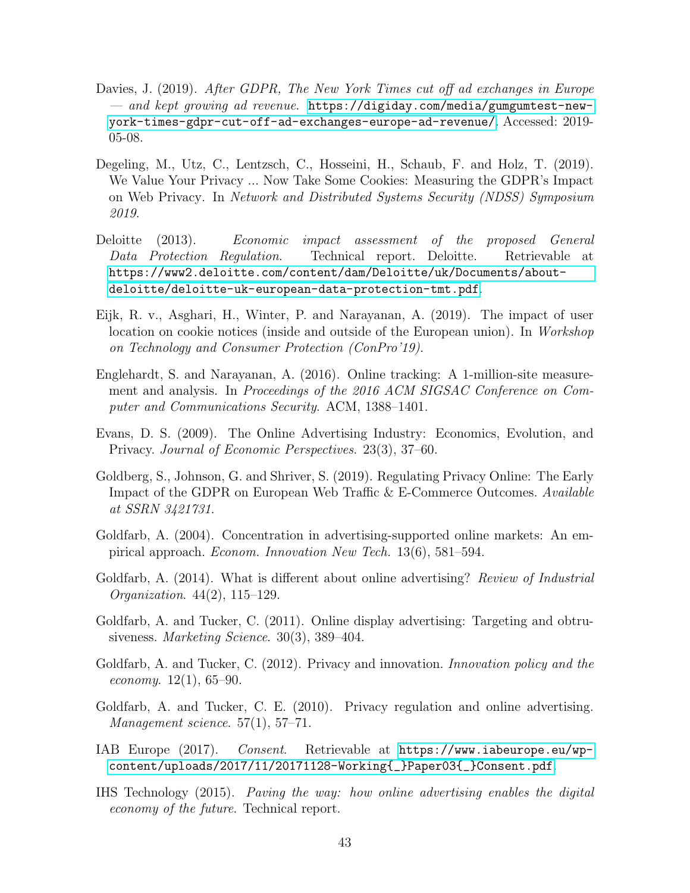- <span id="page-42-3"></span>Davies, J. (2019). After GDPR, The New York Times cut off ad exchanges in Europe — and kept growing ad revenue. [https://digiday.com/media/gumgumtest-new](https://digiday.com/media/gumgumtest-new-york-times-gdpr-cut-off-ad-exchanges-europe-ad-revenue/)[york-times-gdpr-cut-off-ad-exchanges-europe-ad-revenue/](https://digiday.com/media/gumgumtest-new-york-times-gdpr-cut-off-ad-exchanges-europe-ad-revenue/). Accessed: 2019- 05-08.
- <span id="page-42-8"></span>Degeling, M., Utz, C., Lentzsch, C., Hosseini, H., Schaub, F. and Holz, T. (2019). We Value Your Privacy ... Now Take Some Cookies: Measuring the GDPR's Impact on Web Privacy. In Network and Distributed Systems Security (NDSS) Symposium 2019.
- <span id="page-42-0"></span>Deloitte (2013). Economic impact assessment of the proposed General Data Protection Regulation. Technical report. Deloitte. Retrievable at [https://www2.deloitte.com/content/dam/Deloitte/uk/Documents/about](https://www2.deloitte.com/content/dam/Deloitte/uk/Documents/about-deloitte/deloitte-uk-european-data-protection-tmt.pdf)[deloitte/deloitte-uk-european-data-protection-tmt.pdf](https://www2.deloitte.com/content/dam/Deloitte/uk/Documents/about-deloitte/deloitte-uk-european-data-protection-tmt.pdf).
- <span id="page-42-13"></span>Eijk, R. v., Asghari, H., Winter, P. and Narayanan, A. (2019). The impact of user location on cookie notices (inside and outside of the European union). In Workshop on Technology and Consumer Protection (ConPro'19).
- <span id="page-42-12"></span>Englehardt, S. and Narayanan, A. (2016). Online tracking: A 1-million-site measurement and analysis. In Proceedings of the 2016 ACM SIGSAC Conference on Computer and Communications Security. ACM, 1388–1401.
- <span id="page-42-5"></span>Evans, D. S. (2009). The Online Advertising Industry: Economics, Evolution, and Privacy. Journal of Economic Perspectives. 23(3), 37–60.
- <span id="page-42-7"></span>Goldberg, S., Johnson, G. and Shriver, S. (2019). Regulating Privacy Online: The Early Impact of the GDPR on European Web Traffic & E-Commerce Outcomes. Available at SSRN 3421731.
- <span id="page-42-9"></span>Goldfarb, A. (2004). Concentration in advertising-supported online markets: An empirical approach. Econom. Innovation New Tech. 13(6), 581–594.
- <span id="page-42-10"></span>Goldfarb, A. (2014). What is different about online advertising? Review of Industrial Organization. 44(2), 115–129.
- <span id="page-42-1"></span>Goldfarb, A. and Tucker, C. (2011). Online display advertising: Targeting and obtrusiveness. Marketing Science. 30(3), 389–404.
- <span id="page-42-4"></span>Goldfarb, A. and Tucker, C. (2012). Privacy and innovation. Innovation policy and the *economy.* 12(1), 65–90.
- <span id="page-42-6"></span>Goldfarb, A. and Tucker, C. E. (2010). Privacy regulation and online advertising. Management science. 57(1), 57–71.
- <span id="page-42-11"></span>IAB Europe (2017). Consent. Retrievable at [https://www.iabeurope.eu/wp](https://www.iabeurope.eu/wp-content/uploads/2017/11/20171128-Working{_}Paper03{_}Consent.pdf)[content/uploads/2017/11/20171128-Working{\\_}Paper03{\\_}Consent.pdf](https://www.iabeurope.eu/wp-content/uploads/2017/11/20171128-Working{_}Paper03{_}Consent.pdf).
- <span id="page-42-2"></span>IHS Technology (2015). Paving the way: how online advertising enables the digital economy of the future. Technical report.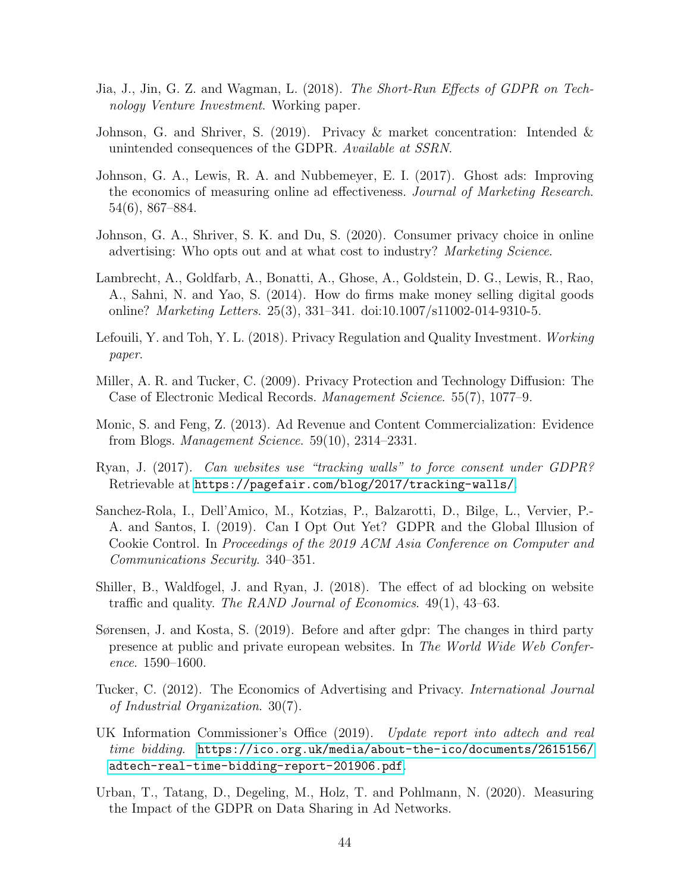- <span id="page-43-4"></span>Jia, J., Jin, G. Z. and Wagman, L. (2018). The Short-Run Effects of GDPR on Technology Venture Investment. Working paper.
- <span id="page-43-1"></span>Johnson, G. and Shriver, S. (2019). Privacy & market concentration: Intended & unintended consequences of the GDPR. Available at SSRN.
- <span id="page-43-10"></span>Johnson, G. A., Lewis, R. A. and Nubbemeyer, E. I. (2017). Ghost ads: Improving the economics of measuring online ad effectiveness. Journal of Marketing Research. 54(6), 867–884.
- <span id="page-43-0"></span>Johnson, G. A., Shriver, S. K. and Du, S. (2020). Consumer privacy choice in online advertising: Who opts out and at what cost to industry? Marketing Science.
- <span id="page-43-2"></span>Lambrecht, A., Goldfarb, A., Bonatti, A., Ghose, A., Goldstein, D. G., Lewis, R., Rao, A., Sahni, N. and Yao, S. (2014). How do firms make money selling digital goods online? Marketing Letters. 25(3), 331–341. doi:10.1007/s11002-014-9310-5.
- <span id="page-43-5"></span>Lefouili, Y. and Toh, Y. L. (2018). Privacy Regulation and Quality Investment. Working paper.
- <span id="page-43-3"></span>Miller, A. R. and Tucker, C. (2009). Privacy Protection and Technology Diffusion: The Case of Electronic Medical Records. Management Science. 55(7), 1077–9.
- <span id="page-43-11"></span>Monic, S. and Feng, Z. (2013). Ad Revenue and Content Commercialization: Evidence from Blogs. Management Science. 59(10), 2314–2331.
- <span id="page-43-14"></span>Ryan, J. (2017). Can websites use "tracking walls" to force consent under GDPR? Retrievable at <https://pagefair.com/blog/2017/tracking-walls/>.
- <span id="page-43-8"></span>Sanchez-Rola, I., Dell'Amico, M., Kotzias, P., Balzarotti, D., Bilge, L., Vervier, P.- A. and Santos, I. (2019). Can I Opt Out Yet? GDPR and the Global Illusion of Cookie Control. In Proceedings of the 2019 ACM Asia Conference on Computer and Communications Security. 340–351.
- <span id="page-43-12"></span>Shiller, B., Waldfogel, J. and Ryan, J. (2018). The effect of ad blocking on website traffic and quality. The RAND Journal of Economics. 49(1), 43–63.
- <span id="page-43-7"></span>Sørensen, J. and Kosta, S. (2019). Before and after gdpr: The changes in third party presence at public and private european websites. In The World Wide Web Conference. 1590–1600.
- <span id="page-43-9"></span>Tucker, C. (2012). The Economics of Advertising and Privacy. International Journal of Industrial Organization. 30(7).
- <span id="page-43-13"></span>UK Information Commissioner's Office (2019). Update report into adtech and real time bidding. [https://ico.org.uk/media/about-the-ico/documents/2615156/](https://ico.org.uk/media/about-the-ico/documents/2615156/adtech-real-time-bidding-report-201906.pdf) [adtech-real-time-bidding-report-201906.pdf](https://ico.org.uk/media/about-the-ico/documents/2615156/adtech-real-time-bidding-report-201906.pdf).
- <span id="page-43-6"></span>Urban, T., Tatang, D., Degeling, M., Holz, T. and Pohlmann, N. (2020). Measuring the Impact of the GDPR on Data Sharing in Ad Networks.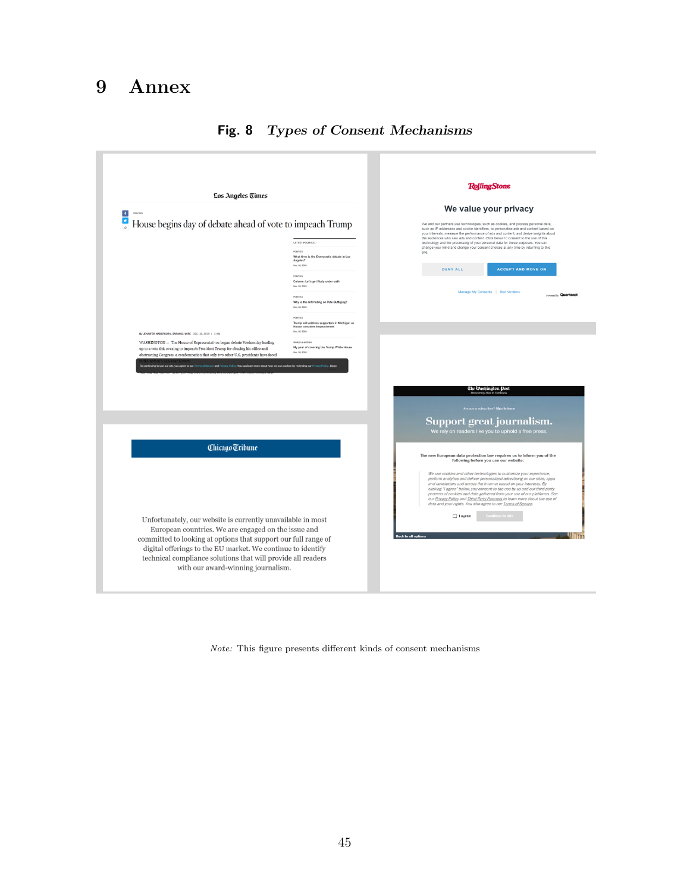# 9 Annex



## <span id="page-44-0"></span>Fig. 8 Types of Consent Mechanisms

Note: This figure presents different kinds of consent mechanisms